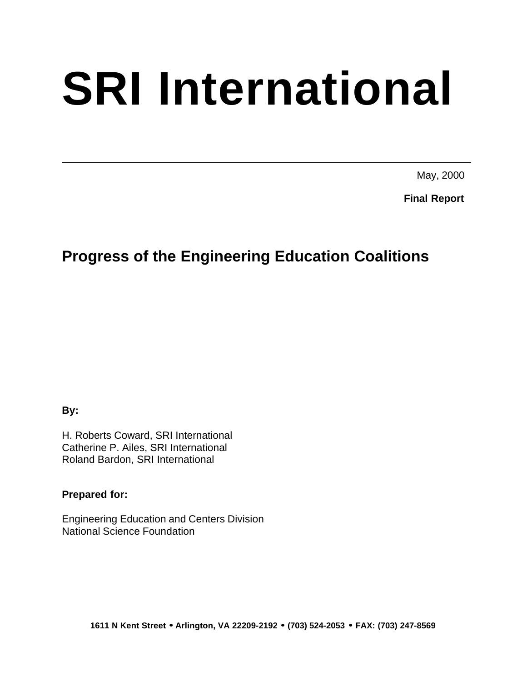# **SRI International**

May, 2000

**Final Report**

# **Progress of the Engineering Education Coalitions**

**By:**

H. Roberts Coward, SRI International Catherine P. Ailes, SRI International Roland Bardon, SRI International

**Prepared for:**

Engineering Education and Centers Division National Science Foundation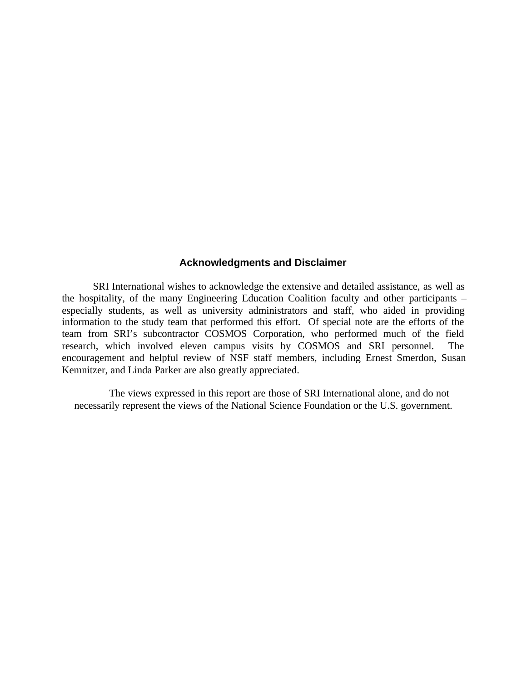### **Acknowledgments and Disclaimer**

SRI International wishes to acknowledge the extensive and detailed assistance, as well as the hospitality, of the many Engineering Education Coalition faculty and other participants – especially students, as well as university administrators and staff, who aided in providing information to the study team that performed this effort. Of special note are the efforts of the team from SRI's subcontractor COSMOS Corporation, who performed much of the field research, which involved eleven campus visits by COSMOS and SRI personnel. The encouragement and helpful review of NSF staff members, including Ernest Smerdon, Susan Kemnitzer, and Linda Parker are also greatly appreciated.

The views expressed in this report are those of SRI International alone, and do not necessarily represent the views of the National Science Foundation or the U.S. government.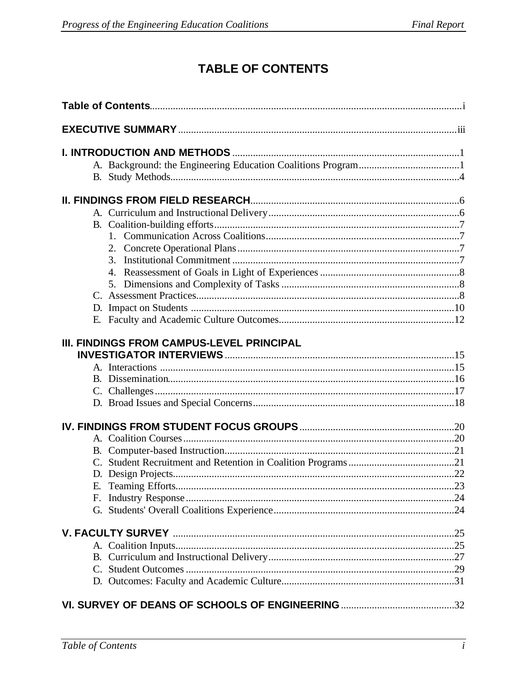# **TABLE OF CONTENTS**

| D. |                                                  |  |
|----|--------------------------------------------------|--|
| Е. |                                                  |  |
|    | <b>III. FINDINGS FROM CAMPUS-LEVEL PRINCIPAL</b> |  |
|    |                                                  |  |
|    |                                                  |  |
|    |                                                  |  |
|    |                                                  |  |
| Е. |                                                  |  |
| Е. |                                                  |  |
|    |                                                  |  |
|    |                                                  |  |
|    |                                                  |  |
|    |                                                  |  |
|    |                                                  |  |
|    |                                                  |  |
|    |                                                  |  |
|    |                                                  |  |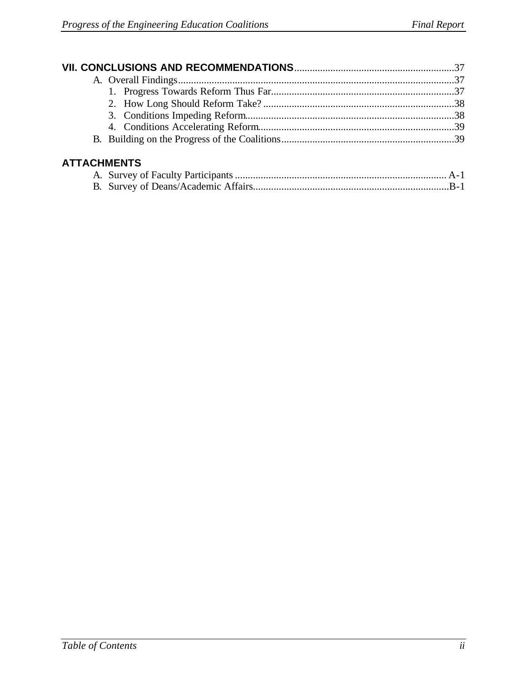| <b>ATTACHMENTS</b> |  |
|--------------------|--|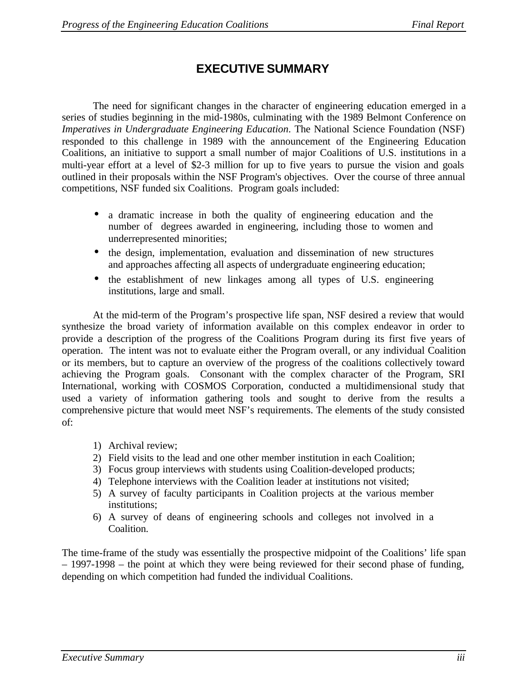# **EXECUTIVE SUMMARY**

The need for significant changes in the character of engineering education emerged in a series of studies beginning in the mid-1980s, culminating with the 1989 Belmont Conference on *Imperatives in Undergraduate Engineering Education*. The National Science Foundation (NSF) responded to this challenge in 1989 with the announcement of the Engineering Education Coalitions, an initiative to support a small number of major Coalitions of U.S. institutions in a multi-year effort at a level of \$2-3 million for up to five years to pursue the vision and goals outlined in their proposals within the NSF Program's objectives. Over the course of three annual competitions, NSF funded six Coalitions. Program goals included:

- a dramatic increase in both the quality of engineering education and the number of degrees awarded in engineering, including those to women and underrepresented minorities;
- the design, implementation, evaluation and dissemination of new structures and approaches affecting all aspects of undergraduate engineering education;
- the establishment of new linkages among all types of U.S. engineering institutions, large and small.

At the mid-term of the Program's prospective life span, NSF desired a review that would synthesize the broad variety of information available on this complex endeavor in order to provide a description of the progress of the Coalitions Program during its first five years of operation. The intent was not to evaluate either the Program overall, or any individual Coalition or its members, but to capture an overview of the progress of the coalitions collectively toward achieving the Program goals. Consonant with the complex character of the Program, SRI International, working with COSMOS Corporation, conducted a multidimensional study that used a variety of information gathering tools and sought to derive from the results a comprehensive picture that would meet NSF's requirements. The elements of the study consisted of:

- 1) Archival review;
- 2) Field visits to the lead and one other member institution in each Coalition;
- 3) Focus group interviews with students using Coalition-developed products;
- 4) Telephone interviews with the Coalition leader at institutions not visited;
- 5) A survey of faculty participants in Coalition projects at the various member institutions;
- 6) A survey of deans of engineering schools and colleges not involved in a Coalition.

The time-frame of the study was essentially the prospective midpoint of the Coalitions' life span – 1997-1998 – the point at which they were being reviewed for their second phase of funding, depending on which competition had funded the individual Coalitions.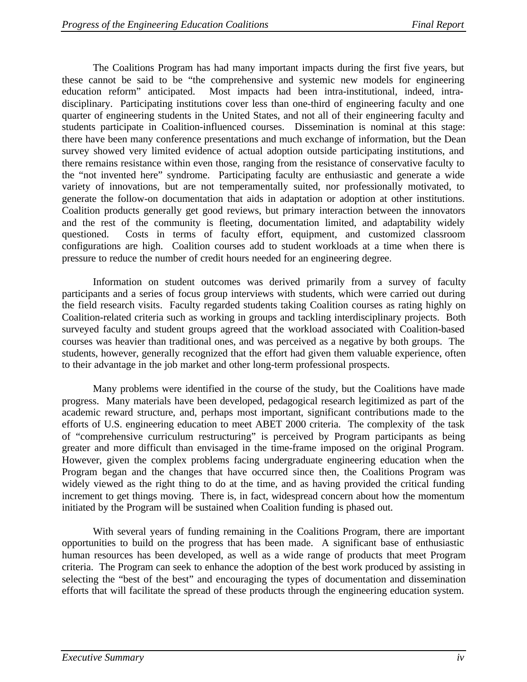The Coalitions Program has had many important impacts during the first five years, but these cannot be said to be "the comprehensive and systemic new models for engineering education reform" anticipated. Most impacts had been intra-institutional, indeed, intradisciplinary. Participating institutions cover less than one-third of engineering faculty and one quarter of engineering students in the United States, and not all of their engineering faculty and students participate in Coalition-influenced courses. Dissemination is nominal at this stage: there have been many conference presentations and much exchange of information, but the Dean survey showed very limited evidence of actual adoption outside participating institutions, and there remains resistance within even those, ranging from the resistance of conservative faculty to the "not invented here" syndrome. Participating faculty are enthusiastic and generate a wide variety of innovations, but are not temperamentally suited, nor professionally motivated, to generate the follow-on documentation that aids in adaptation or adoption at other institutions. Coalition products generally get good reviews, but primary interaction between the innovators and the rest of the community is fleeting, documentation limited, and adaptability widely questioned. Costs in terms of faculty effort, equipment, and customized classroom configurations are high. Coalition courses add to student workloads at a time when there is pressure to reduce the number of credit hours needed for an engineering degree.

Information on student outcomes was derived primarily from a survey of faculty participants and a series of focus group interviews with students, which were carried out during the field research visits. Faculty regarded students taking Coalition courses as rating highly on Coalition-related criteria such as working in groups and tackling interdisciplinary projects. Both surveyed faculty and student groups agreed that the workload associated with Coalition-based courses was heavier than traditional ones, and was perceived as a negative by both groups. The students, however, generally recognized that the effort had given them valuable experience, often to their advantage in the job market and other long-term professional prospects.

Many problems were identified in the course of the study, but the Coalitions have made progress. Many materials have been developed, pedagogical research legitimized as part of the academic reward structure, and, perhaps most important, significant contributions made to the efforts of U.S. engineering education to meet ABET 2000 criteria. The complexity of the task of "comprehensive curriculum restructuring" is perceived by Program participants as being greater and more difficult than envisaged in the time-frame imposed on the original Program. However, given the complex problems facing undergraduate engineering education when the Program began and the changes that have occurred since then, the Coalitions Program was widely viewed as the right thing to do at the time, and as having provided the critical funding increment to get things moving. There is, in fact, widespread concern about how the momentum initiated by the Program will be sustained when Coalition funding is phased out.

With several years of funding remaining in the Coalitions Program, there are important opportunities to build on the progress that has been made. A significant base of enthusiastic human resources has been developed, as well as a wide range of products that meet Program criteria. The Program can seek to enhance the adoption of the best work produced by assisting in selecting the "best of the best" and encouraging the types of documentation and dissemination efforts that will facilitate the spread of these products through the engineering education system.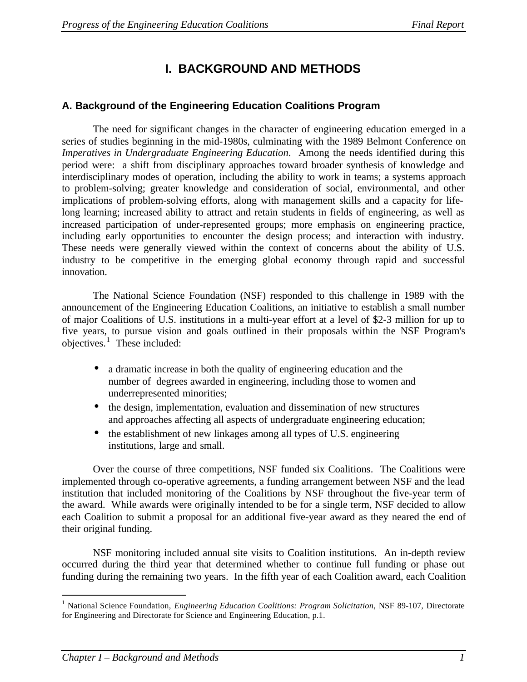# **I. BACKGROUND AND METHODS**

# **A. Background of the Engineering Education Coalitions Program**

The need for significant changes in the character of engineering education emerged in a series of studies beginning in the mid-1980s, culminating with the 1989 Belmont Conference on *Imperatives in Undergraduate Engineering Education*. Among the needs identified during this period were: a shift from disciplinary approaches toward broader synthesis of knowledge and interdisciplinary modes of operation, including the ability to work in teams; a systems approach to problem-solving; greater knowledge and consideration of social, environmental, and other implications of problem-solving efforts, along with management skills and a capacity for lifelong learning; increased ability to attract and retain students in fields of engineering, as well as increased participation of under-represented groups; more emphasis on engineering practice, including early opportunities to encounter the design process; and interaction with industry. These needs were generally viewed within the context of concerns about the ability of U.S. industry to be competitive in the emerging global economy through rapid and successful innovation.

The National Science Foundation (NSF) responded to this challenge in 1989 with the announcement of the Engineering Education Coalitions, an initiative to establish a small number of major Coalitions of U.S. institutions in a multi-year effort at a level of \$2-3 million for up to five years, to pursue vision and goals outlined in their proposals within the NSF Program's objectives. $\frac{1}{1}$  These included:

- a dramatic increase in both the quality of engineering education and the number of degrees awarded in engineering, including those to women and underrepresented minorities;
- the design, implementation, evaluation and dissemination of new structures and approaches affecting all aspects of undergraduate engineering education;
- the establishment of new linkages among all types of U.S. engineering institutions, large and small.

Over the course of three competitions, NSF funded six Coalitions. The Coalitions were implemented through co-operative agreements, a funding arrangement between NSF and the lead institution that included monitoring of the Coalitions by NSF throughout the five-year term of the award. While awards were originally intended to be for a single term, NSF decided to allow each Coalition to submit a proposal for an additional five-year award as they neared the end of their original funding.

NSF monitoring included annual site visits to Coalition institutions. An in-depth review occurred during the third year that determined whether to continue full funding or phase out funding during the remaining two years. In the fifth year of each Coalition award, each Coalition

 $\overline{a}$ 

<sup>&</sup>lt;sup>1</sup> National Science Foundation, *Engineering Education Coalitions: Program Solicitation*, NSF 89-107, Directorate for Engineering and Directorate for Science and Engineering Education, p.1.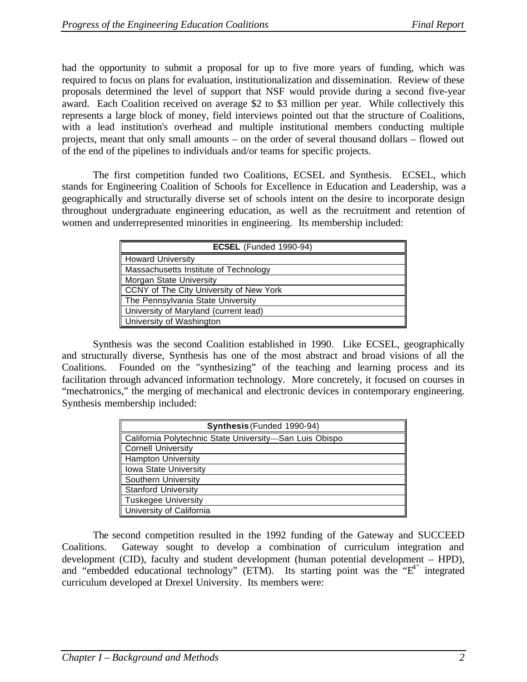had the opportunity to submit a proposal for up to five more years of funding, which was required to focus on plans for evaluation, institutionalization and dissemination. Review of these proposals determined the level of support that NSF would provide during a second five-year award. Each Coalition received on average \$2 to \$3 million per year. While collectively this represents a large block of money, field interviews pointed out that the structure of Coalitions, with a lead institution's overhead and multiple institutional members conducting multiple projects, meant that only small amounts – on the order of several thousand dollars – flowed out of the end of the pipelines to individuals and/or teams for specific projects.

The first competition funded two Coalitions, ECSEL and Synthesis. ECSEL, which stands for Engineering Coalition of Schools for Excellence in Education and Leadership, was a geographically and structurally diverse set of schools intent on the desire to incorporate design throughout undergraduate engineering education, as well as the recruitment and retention of women and underrepresented minorities in engineering. Its membership included:

| <b>ECSEL</b> (Funded 1990-94)           |
|-----------------------------------------|
| <b>Howard University</b>                |
| Massachusetts Institute of Technology   |
| Morgan State University                 |
| CCNY of The City University of New York |
| The Pennsylvania State University       |
| University of Maryland (current lead)   |
| University of Washington                |

Synthesis was the second Coalition established in 1990. Like ECSEL, geographically and structurally diverse, Synthesis has one of the most abstract and broad visions of all the Coalitions. Founded on the "synthesizing" of the teaching and learning process and its facilitation through advanced information technology. More concretely, it focused on courses in "mechatronics," the merging of mechanical and electronic devices in contemporary engineering. Synthesis membership included:

| Synthesis (Funded 1990-94)                              |
|---------------------------------------------------------|
| California Polytechnic State University-San Luis Obispo |
| <b>Cornell University</b>                               |
| <b>Hampton University</b>                               |
| Iowa State University                                   |
| Southern University                                     |
| <b>Stanford University</b>                              |
| <b>Tuskegee University</b>                              |
| University of California                                |

The second competition resulted in the 1992 funding of the Gateway and SUCCEED Coalitions. Gateway sought to develop a combination of curriculum integration and development (CID), faculty and student development (human potential development – HPD), and "embedded educational technology" (ETM). Its starting point was the "E<sup>4"</sup> integrated curriculum developed at Drexel University. Its members were: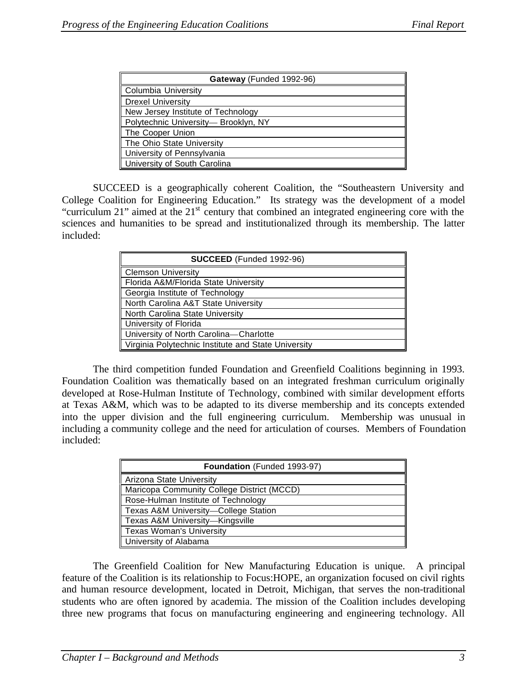| Gateway (Funded 1992-96)            |
|-------------------------------------|
| Columbia University                 |
| <b>Drexel University</b>            |
| New Jersey Institute of Technology  |
| Polytechnic University-Brooklyn, NY |
| The Cooper Union                    |
| The Ohio State University           |
| University of Pennsylvania          |
| University of South Carolina        |

SUCCEED is a geographically coherent Coalition, the "Southeastern University and College Coalition for Engineering Education." Its strategy was the development of a model "curriculum 21" aimed at the 21<sup>st</sup> century that combined an integrated engineering core with the sciences and humanities to be spread and institutionalized through its membership. The latter included:

| SUCCEED (Funded 1992-96)                            |
|-----------------------------------------------------|
| Clemson University                                  |
| Florida A&M/Florida State University                |
| Georgia Institute of Technology                     |
| North Carolina A&T State University                 |
| North Carolina State University                     |
| University of Florida                               |
| University of North Carolina-Charlotte              |
| Virginia Polytechnic Institute and State University |

The third competition funded Foundation and Greenfield Coalitions beginning in 1993. Foundation Coalition was thematically based on an integrated freshman curriculum originally developed at Rose-Hulman Institute of Technology, combined with similar development efforts at Texas A&M, which was to be adapted to its diverse membership and its concepts extended into the upper division and the full engineering curriculum. Membership was unusual in including a community college and the need for articulation of courses. Members of Foundation included:

| Foundation (Funded 1993-97)                |
|--------------------------------------------|
| Arizona State University                   |
| Maricopa Community College District (MCCD) |
| Rose-Hulman Institute of Technology        |
| Texas A&M University-College Station       |
| Texas A&M University-Kingsville            |
| Texas Woman's University                   |
| <b>University of Alabama</b>               |

The Greenfield Coalition for New Manufacturing Education is unique. A principal feature of the Coalition is its relationship to Focus:HOPE, an organization focused on civil rights and human resource development, located in Detroit, Michigan, that serves the non-traditional students who are often ignored by academia. The mission of the Coalition includes developing three new programs that focus on manufacturing engineering and engineering technology. All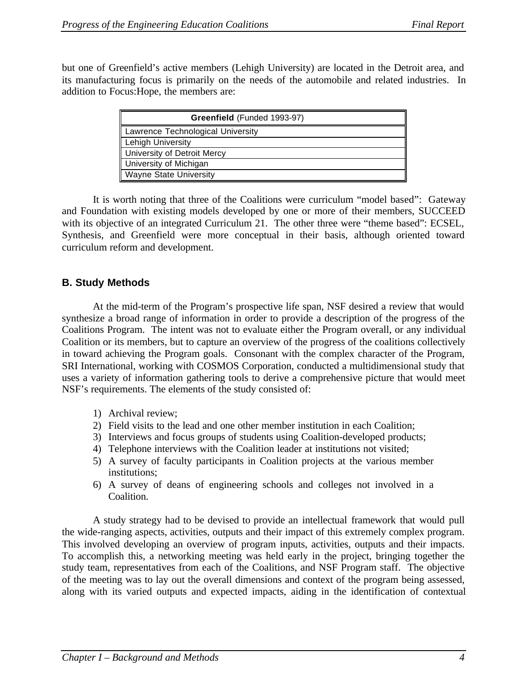but one of Greenfield's active members (Lehigh University) are located in the Detroit area, and its manufacturing focus is primarily on the needs of the automobile and related industries. In addition to Focus:Hope, the members are:

| Greenfield (Funded 1993-97)       |
|-----------------------------------|
| Lawrence Technological University |
| Lehigh University                 |
| University of Detroit Mercy       |
| University of Michigan            |
| <b>Wayne State University</b>     |

It is worth noting that three of the Coalitions were curriculum "model based": Gateway and Foundation with existing models developed by one or more of their members, SUCCEED with its objective of an integrated Curriculum 21. The other three were "theme based": ECSEL, Synthesis, and Greenfield were more conceptual in their basis, although oriented toward curriculum reform and development.

### **B. Study Methods**

At the mid-term of the Program's prospective life span, NSF desired a review that would synthesize a broad range of information in order to provide a description of the progress of the Coalitions Program. The intent was not to evaluate either the Program overall, or any individual Coalition or its members, but to capture an overview of the progress of the coalitions collectively in toward achieving the Program goals. Consonant with the complex character of the Program, SRI International, working with COSMOS Corporation, conducted a multidimensional study that uses a variety of information gathering tools to derive a comprehensive picture that would meet NSF's requirements. The elements of the study consisted of:

- 1) Archival review;
- 2) Field visits to the lead and one other member institution in each Coalition;
- 3) Interviews and focus groups of students using Coalition-developed products;
- 4) Telephone interviews with the Coalition leader at institutions not visited;
- 5) A survey of faculty participants in Coalition projects at the various member institutions;
- 6) A survey of deans of engineering schools and colleges not involved in a Coalition.

A study strategy had to be devised to provide an intellectual framework that would pull the wide-ranging aspects, activities, outputs and their impact of this extremely complex program. This involved developing an overview of program inputs, activities, outputs and their impacts. To accomplish this, a networking meeting was held early in the project, bringing together the study team, representatives from each of the Coalitions, and NSF Program staff. The objective of the meeting was to lay out the overall dimensions and context of the program being assessed, along with its varied outputs and expected impacts, aiding in the identification of contextual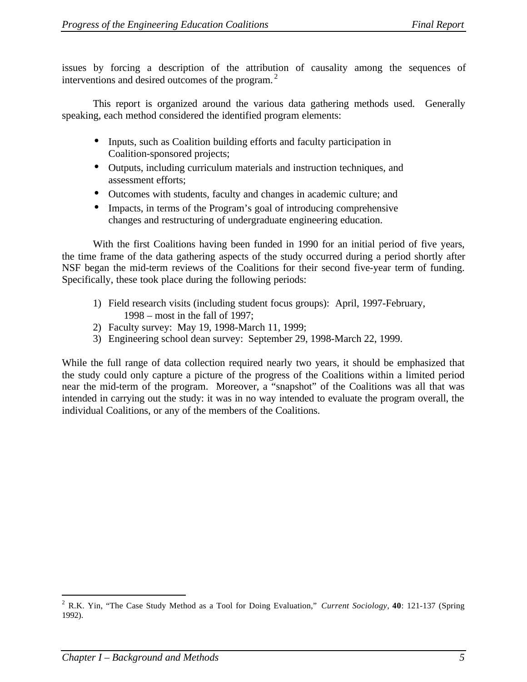issues by forcing a description of the attribution of causality among the sequences of interventions and desired outcomes of the program.<sup>2</sup>

This report is organized around the various data gathering methods used. Generally speaking, each method considered the identified program elements:

- Inputs, such as Coalition building efforts and faculty participation in Coalition-sponsored projects;
- Outputs, including curriculum materials and instruction techniques, and assessment efforts;
- Outcomes with students, faculty and changes in academic culture; and
- Impacts, in terms of the Program's goal of introducing comprehensive changes and restructuring of undergraduate engineering education.

With the first Coalitions having been funded in 1990 for an initial period of five years, the time frame of the data gathering aspects of the study occurred during a period shortly after NSF began the mid-term reviews of the Coalitions for their second five-year term of funding. Specifically, these took place during the following periods:

- 1) Field research visits (including student focus groups): April, 1997-February, 1998 – most in the fall of 1997;
- 2) Faculty survey: May 19, 1998-March 11, 1999;
- 3) Engineering school dean survey: September 29, 1998-March 22, 1999.

While the full range of data collection required nearly two years, it should be emphasized that the study could only capture a picture of the progress of the Coalitions within a limited period near the mid-term of the program. Moreover, a "snapshot" of the Coalitions was all that was intended in carrying out the study: it was in no way intended to evaluate the program overall, the individual Coalitions, or any of the members of the Coalitions.

 $\overline{a}$ 

<sup>2</sup> R.K. Yin, "The Case Study Method as a Tool for Doing Evaluation," *Current Sociology*, **40**: 121-137 (Spring 1992).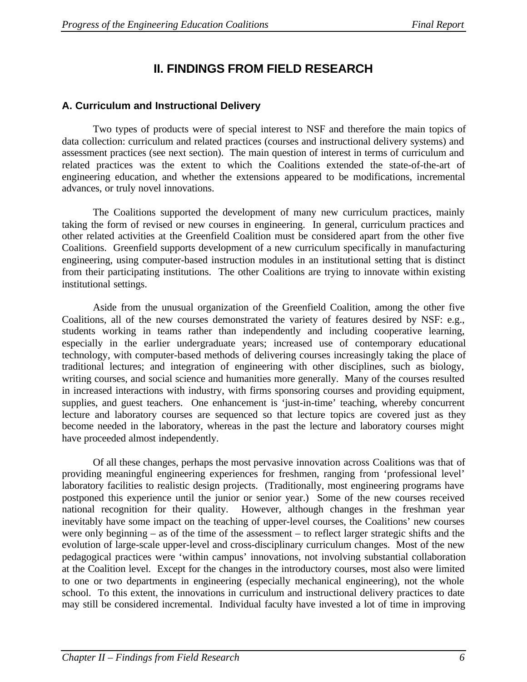# **II. FINDINGS FROM FIELD RESEARCH**

# **A. Curriculum and Instructional Delivery**

Two types of products were of special interest to NSF and therefore the main topics of data collection: curriculum and related practices (courses and instructional delivery systems) and assessment practices (see next section). The main question of interest in terms of curriculum and related practices was the extent to which the Coalitions extended the state-of-the-art of engineering education, and whether the extensions appeared to be modifications, incremental advances, or truly novel innovations.

The Coalitions supported the development of many new curriculum practices, mainly taking the form of revised or new courses in engineering. In general, curriculum practices and other related activities at the Greenfield Coalition must be considered apart from the other five Coalitions. Greenfield supports development of a new curriculum specifically in manufacturing engineering, using computer-based instruction modules in an institutional setting that is distinct from their participating institutions. The other Coalitions are trying to innovate within existing institutional settings.

Aside from the unusual organization of the Greenfield Coalition, among the other five Coalitions, all of the new courses demonstrated the variety of features desired by NSF: e.g., students working in teams rather than independently and including cooperative learning, especially in the earlier undergraduate years; increased use of contemporary educational technology, with computer-based methods of delivering courses increasingly taking the place of traditional lectures; and integration of engineering with other disciplines, such as biology, writing courses, and social science and humanities more generally. Many of the courses resulted in increased interactions with industry, with firms sponsoring courses and providing equipment, supplies, and guest teachers. One enhancement is 'just-in-time' teaching, whereby concurrent lecture and laboratory courses are sequenced so that lecture topics are covered just as they become needed in the laboratory, whereas in the past the lecture and laboratory courses might have proceeded almost independently.

Of all these changes, perhaps the most pervasive innovation across Coalitions was that of providing meaningful engineering experiences for freshmen, ranging from 'professional level' laboratory facilities to realistic design projects. (Traditionally, most engineering programs have postponed this experience until the junior or senior year.) Some of the new courses received national recognition for their quality. However, although changes in the freshman year inevitably have some impact on the teaching of upper-level courses, the Coalitions' new courses were only beginning – as of the time of the assessment – to reflect larger strategic shifts and the evolution of large-scale upper-level and cross-disciplinary curriculum changes. Most of the new pedagogical practices were 'within campus' innovations, not involving substantial collaboration at the Coalition level. Except for the changes in the introductory courses, most also were limited to one or two departments in engineering (especially mechanical engineering), not the whole school. To this extent, the innovations in curriculum and instructional delivery practices to date may still be considered incremental. Individual faculty have invested a lot of time in improving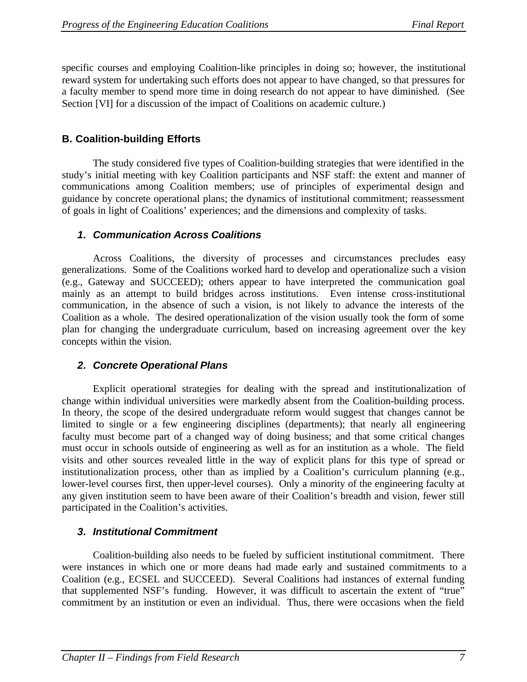specific courses and employing Coalition-like principles in doing so; however, the institutional reward system for undertaking such efforts does not appear to have changed, so that pressures for a faculty member to spend more time in doing research do not appear to have diminished. (See Section [VI] for a discussion of the impact of Coalitions on academic culture.)

# **B. Coalition-building Efforts**

The study considered five types of Coalition-building strategies that were identified in the study's initial meeting with key Coalition participants and NSF staff: the extent and manner of communications among Coalition members; use of principles of experimental design and guidance by concrete operational plans; the dynamics of institutional commitment; reassessment of goals in light of Coalitions' experiences; and the dimensions and complexity of tasks.

# *1. Communication Across Coalitions*

Across Coalitions, the diversity of processes and circumstances precludes easy generalizations. Some of the Coalitions worked hard to develop and operationalize such a vision (e.g., Gateway and SUCCEED); others appear to have interpreted the communication goal mainly as an attempt to build bridges across institutions. Even intense cross-institutional communication, in the absence of such a vision, is not likely to advance the interests of the Coalition as a whole. The desired operationalization of the vision usually took the form of some plan for changing the undergraduate curriculum, based on increasing agreement over the key concepts within the vision.

# *2. Concrete Operational Plans*

Explicit operational strategies for dealing with the spread and institutionalization of change within individual universities were markedly absent from the Coalition-building process. In theory, the scope of the desired undergraduate reform would suggest that changes cannot be limited to single or a few engineering disciplines (departments); that nearly all engineering faculty must become part of a changed way of doing business; and that some critical changes must occur in schools outside of engineering as well as for an institution as a whole. The field visits and other sources revealed little in the way of explicit plans for this type of spread or institutionalization process, other than as implied by a Coalition's curriculum planning (e.g., lower-level courses first, then upper-level courses). Only a minority of the engineering faculty at any given institution seem to have been aware of their Coalition's breadth and vision, fewer still participated in the Coalition's activities.

# *3. Institutional Commitment*

Coalition-building also needs to be fueled by sufficient institutional commitment. There were instances in which one or more deans had made early and sustained commitments to a Coalition (e.g., ECSEL and SUCCEED). Several Coalitions had instances of external funding that supplemented NSF's funding. However, it was difficult to ascertain the extent of "true" commitment by an institution or even an individual. Thus, there were occasions when the field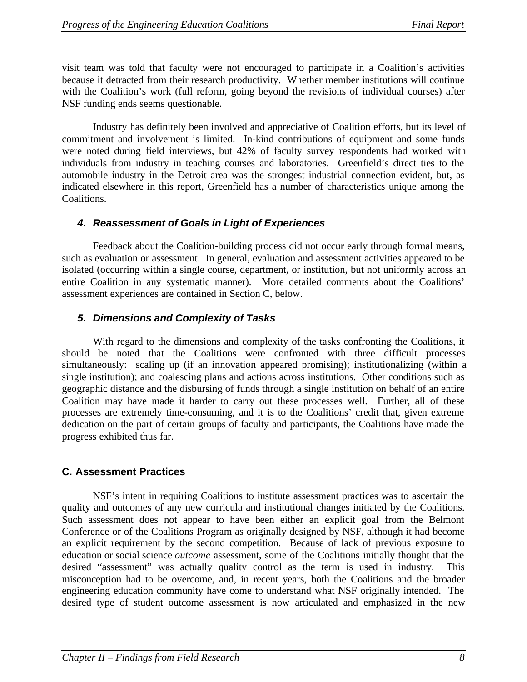visit team was told that faculty were not encouraged to participate in a Coalition's activities because it detracted from their research productivity. Whether member institutions will continue with the Coalition's work (full reform, going beyond the revisions of individual courses) after NSF funding ends seems questionable.

Industry has definitely been involved and appreciative of Coalition efforts, but its level of commitment and involvement is limited. In-kind contributions of equipment and some funds were noted during field interviews, but 42% of faculty survey respondents had worked with individuals from industry in teaching courses and laboratories. Greenfield's direct ties to the automobile industry in the Detroit area was the strongest industrial connection evident, but, as indicated elsewhere in this report, Greenfield has a number of characteristics unique among the Coalitions.

### *4. Reassessment of Goals in Light of Experiences*

Feedback about the Coalition-building process did not occur early through formal means, such as evaluation or assessment. In general, evaluation and assessment activities appeared to be isolated (occurring within a single course, department, or institution, but not uniformly across an entire Coalition in any systematic manner). More detailed comments about the Coalitions' assessment experiences are contained in Section C, below.

# *5. Dimensions and Complexity of Tasks*

With regard to the dimensions and complexity of the tasks confronting the Coalitions, it should be noted that the Coalitions were confronted with three difficult processes simultaneously: scaling up (if an innovation appeared promising); institutionalizing (within a single institution); and coalescing plans and actions across institutions. Other conditions such as geographic distance and the disbursing of funds through a single institution on behalf of an entire Coalition may have made it harder to carry out these processes well. Further, all of these processes are extremely time-consuming, and it is to the Coalitions' credit that, given extreme dedication on the part of certain groups of faculty and participants, the Coalitions have made the progress exhibited thus far.

# **C. Assessment Practices**

NSF's intent in requiring Coalitions to institute assessment practices was to ascertain the quality and outcomes of any new curricula and institutional changes initiated by the Coalitions. Such assessment does not appear to have been either an explicit goal from the Belmont Conference or of the Coalitions Program as originally designed by NSF, although it had become an explicit requirement by the second competition. Because of lack of previous exposure to education or social science *outcome* assessment, some of the Coalitions initially thought that the desired "assessment" was actually quality control as the term is used in industry. This misconception had to be overcome, and, in recent years, both the Coalitions and the broader engineering education community have come to understand what NSF originally intended. The desired type of student outcome assessment is now articulated and emphasized in the new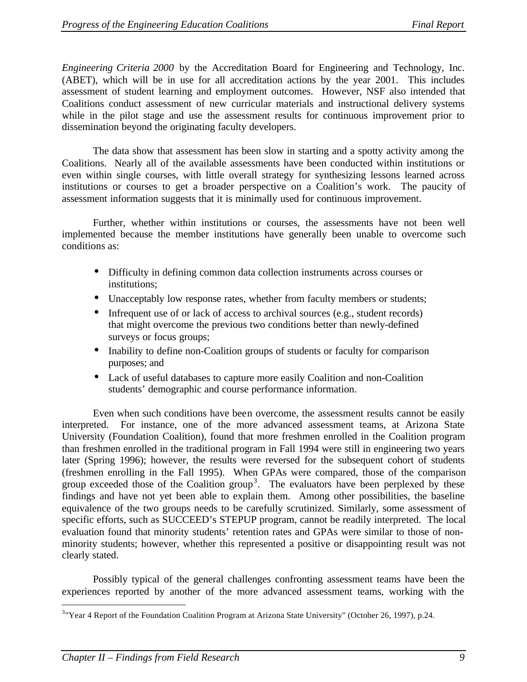*Engineering Criteria 2000* by the Accreditation Board for Engineering and Technology, Inc. (ABET), which will be in use for all accreditation actions by the year 2001. This includes assessment of student learning and employment outcomes. However, NSF also intended that Coalitions conduct assessment of new curricular materials and instructional delivery systems while in the pilot stage and use the assessment results for continuous improvement prior to dissemination beyond the originating faculty developers.

The data show that assessment has been slow in starting and a spotty activity among the Coalitions. Nearly all of the available assessments have been conducted within institutions or even within single courses, with little overall strategy for synthesizing lessons learned across institutions or courses to get a broader perspective on a Coalition's work. The paucity of assessment information suggests that it is minimally used for continuous improvement.

Further, whether within institutions or courses, the assessments have not been well implemented because the member institutions have generally been unable to overcome such conditions as:

- Difficulty in defining common data collection instruments across courses or institutions;
- Unacceptably low response rates, whether from faculty members or students;
- Infrequent use of or lack of access to archival sources (e.g., student records) that might overcome the previous two conditions better than newly-defined surveys or focus groups;
- Inability to define non-Coalition groups of students or faculty for comparison purposes; and
- Lack of useful databases to capture more easily Coalition and non-Coalition students' demographic and course performance information.

Even when such conditions have been overcome, the assessment results cannot be easily interpreted. For instance, one of the more advanced assessment teams, at Arizona State University (Foundation Coalition), found that more freshmen enrolled in the Coalition program than freshmen enrolled in the traditional program in Fall 1994 were still in engineering two years later (Spring 1996); however, the results were reversed for the subsequent cohort of students (freshmen enrolling in the Fall 1995). When GPAs were compared, those of the comparison group exceeded those of the Coalition group<sup>3</sup>. The evaluators have been perplexed by these findings and have not yet been able to explain them. Among other possibilities, the baseline equivalence of the two groups needs to be carefully scrutinized. Similarly, some assessment of specific efforts, such as SUCCEED's STEPUP program, cannot be readily interpreted. The local evaluation found that minority students' retention rates and GPAs were similar to those of nonminority students; however, whether this represented a positive or disappointing result was not clearly stated.

Possibly typical of the general challenges confronting assessment teams have been the experiences reported by another of the more advanced assessment teams, working with the

 $\overline{a}$ 

<sup>&</sup>lt;sup>3</sup> Year 4 Report of the Foundation Coalition Program at Arizona State University" (October 26, 1997), p.24.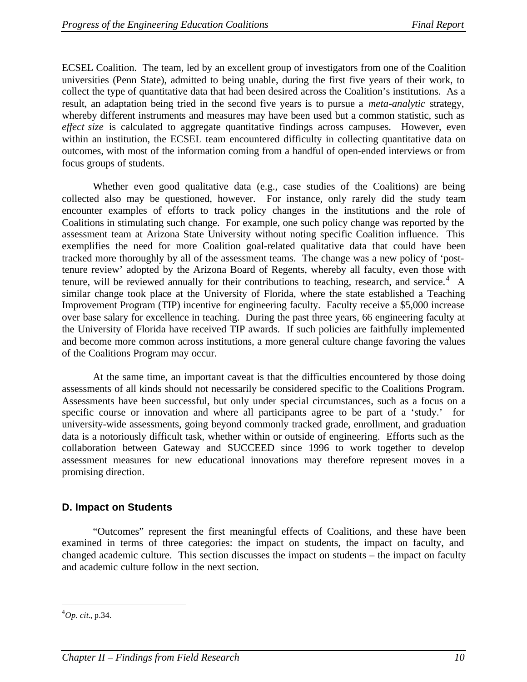ECSEL Coalition. The team, led by an excellent group of investigators from one of the Coalition universities (Penn State), admitted to being unable, during the first five years of their work, to collect the type of quantitative data that had been desired across the Coalition's institutions. As a result, an adaptation being tried in the second five years is to pursue a *meta-analytic* strategy, whereby different instruments and measures may have been used but a common statistic, such as *effect size* is calculated to aggregate quantitative findings across campuses. However, even within an institution, the ECSEL team encountered difficulty in collecting quantitative data on outcomes, with most of the information coming from a handful of open-ended interviews or from focus groups of students.

Whether even good qualitative data (e.g., case studies of the Coalitions) are being collected also may be questioned, however. For instance, only rarely did the study team encounter examples of efforts to track policy changes in the institutions and the role of Coalitions in stimulating such change. For example, one such policy change was reported by the assessment team at Arizona State University without noting specific Coalition influence. This exemplifies the need for more Coalition goal-related qualitative data that could have been tracked more thoroughly by all of the assessment teams. The change was a new policy of 'posttenure review' adopted by the Arizona Board of Regents, whereby all faculty, even those with tenure, will be reviewed annually for their contributions to teaching, research, and service.<sup>4</sup> A similar change took place at the University of Florida, where the state established a Teaching Improvement Program (TIP) incentive for engineering faculty. Faculty receive a \$5,000 increase over base salary for excellence in teaching. During the past three years, 66 engineering faculty at the University of Florida have received TIP awards. If such policies are faithfully implemented and become more common across institutions, a more general culture change favoring the values of the Coalitions Program may occur.

At the same time, an important caveat is that the difficulties encountered by those doing assessments of all kinds should not necessarily be considered specific to the Coalitions Program. Assessments have been successful, but only under special circumstances, such as a focus on a specific course or innovation and where all participants agree to be part of a 'study.' for university-wide assessments, going beyond commonly tracked grade, enrollment, and graduation data is a notoriously difficult task, whether within or outside of engineering. Efforts such as the collaboration between Gateway and SUCCEED since 1996 to work together to develop assessment measures for new educational innovations may therefore represent moves in a promising direction.

### **D. Impact on Students**

"Outcomes" represent the first meaningful effects of Coalitions, and these have been examined in terms of three categories: the impact on students, the impact on faculty, and changed academic culture. This section discusses the impact on students – the impact on faculty and academic culture follow in the next section.

 $\overline{a}$ 

<sup>4</sup>*Op. cit.*, p.34.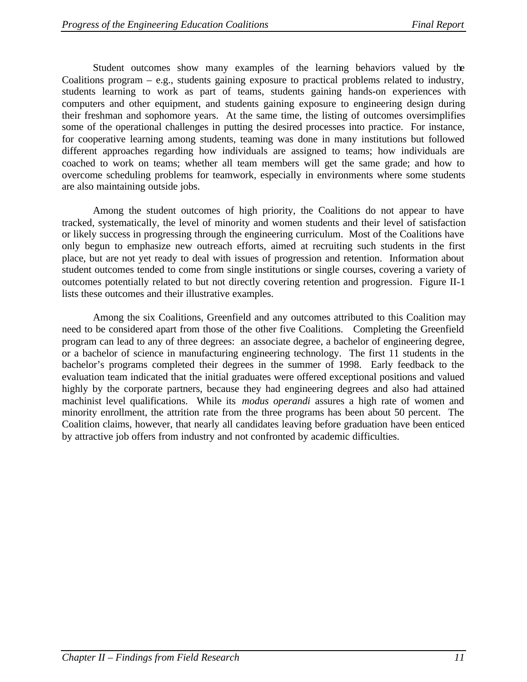Student outcomes show many examples of the learning behaviors valued by the Coalitions program – e.g., students gaining exposure to practical problems related to industry, students learning to work as part of teams, students gaining hands-on experiences with computers and other equipment, and students gaining exposure to engineering design during their freshman and sophomore years. At the same time, the listing of outcomes oversimplifies some of the operational challenges in putting the desired processes into practice. For instance, for cooperative learning among students, teaming was done in many institutions but followed different approaches regarding how individuals are assigned to teams; how individuals are coached to work on teams; whether all team members will get the same grade; and how to overcome scheduling problems for teamwork, especially in environments where some students are also maintaining outside jobs.

Among the student outcomes of high priority, the Coalitions do not appear to have tracked, systematically, the level of minority and women students and their level of satisfaction or likely success in progressing through the engineering curriculum. Most of the Coalitions have only begun to emphasize new outreach efforts, aimed at recruiting such students in the first place, but are not yet ready to deal with issues of progression and retention. Information about student outcomes tended to come from single institutions or single courses, covering a variety of outcomes potentially related to but not directly covering retention and progression. Figure II-1 lists these outcomes and their illustrative examples.

Among the six Coalitions, Greenfield and any outcomes attributed to this Coalition may need to be considered apart from those of the other five Coalitions. Completing the Greenfield program can lead to any of three degrees: an associate degree, a bachelor of engineering degree, or a bachelor of science in manufacturing engineering technology. The first 11 students in the bachelor's programs completed their degrees in the summer of 1998. Early feedback to the evaluation team indicated that the initial graduates were offered exceptional positions and valued highly by the corporate partners, because they had engineering degrees and also had attained machinist level qualifications. While its *modus operandi* assures a high rate of women and minority enrollment, the attrition rate from the three programs has been about 50 percent. The Coalition claims, however, that nearly all candidates leaving before graduation have been enticed by attractive job offers from industry and not confronted by academic difficulties.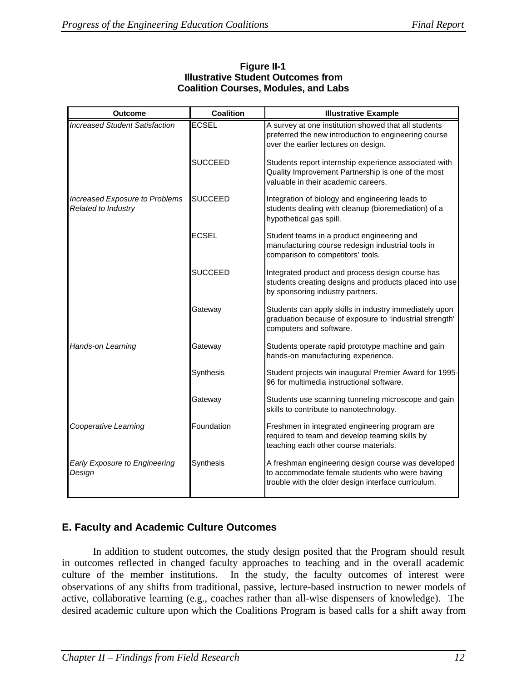| <b>Outcome</b>                                        | <b>Coalition</b> | <b>Illustrative Example</b>                                                                                                                                 |
|-------------------------------------------------------|------------------|-------------------------------------------------------------------------------------------------------------------------------------------------------------|
| <b>Increased Student Satisfaction</b>                 | <b>ECSEL</b>     | A survey at one institution showed that all students<br>preferred the new introduction to engineering course<br>over the earlier lectures on design.        |
|                                                       | <b>SUCCEED</b>   | Students report internship experience associated with<br>Quality Improvement Partnership is one of the most<br>valuable in their academic careers.          |
| Increased Exposure to Problems<br>Related to Industry | <b>SUCCEED</b>   | Integration of biology and engineering leads to<br>students dealing with cleanup (bioremediation) of a<br>hypothetical gas spill.                           |
|                                                       | <b>ECSEL</b>     | Student teams in a product engineering and<br>manufacturing course redesign industrial tools in<br>comparison to competitors' tools.                        |
|                                                       | <b>SUCCEED</b>   | Integrated product and process design course has<br>students creating designs and products placed into use<br>by sponsoring industry partners.              |
|                                                       | Gateway          | Students can apply skills in industry immediately upon<br>graduation because of exposure to 'industrial strength'<br>computers and software.                |
| Hands-on Learning                                     | Gateway          | Students operate rapid prototype machine and gain<br>hands-on manufacturing experience.                                                                     |
|                                                       | Synthesis        | Student projects win inaugural Premier Award for 1995-<br>96 for multimedia instructional software.                                                         |
|                                                       | Gateway          | Students use scanning tunneling microscope and gain<br>skills to contribute to nanotechnology.                                                              |
| Cooperative Learning                                  | Foundation       | Freshmen in integrated engineering program are<br>required to team and develop teaming skills by<br>teaching each other course materials.                   |
| <b>Early Exposure to Engineering</b><br>Design        | Synthesis        | A freshman engineering design course was developed<br>to accommodate female students who were having<br>trouble with the older design interface curriculum. |

### **Figure II-1 Illustrative Student Outcomes from Coalition Courses, Modules, and Labs**

# **E. Faculty and Academic Culture Outcomes**

In addition to student outcomes, the study design posited that the Program should result in outcomes reflected in changed faculty approaches to teaching and in the overall academic culture of the member institutions. In the study, the faculty outcomes of interest were observations of any shifts from traditional, passive, lecture-based instruction to newer models of active, collaborative learning (e.g., coaches rather than all-wise dispensers of knowledge). The desired academic culture upon which the Coalitions Program is based calls for a shift away from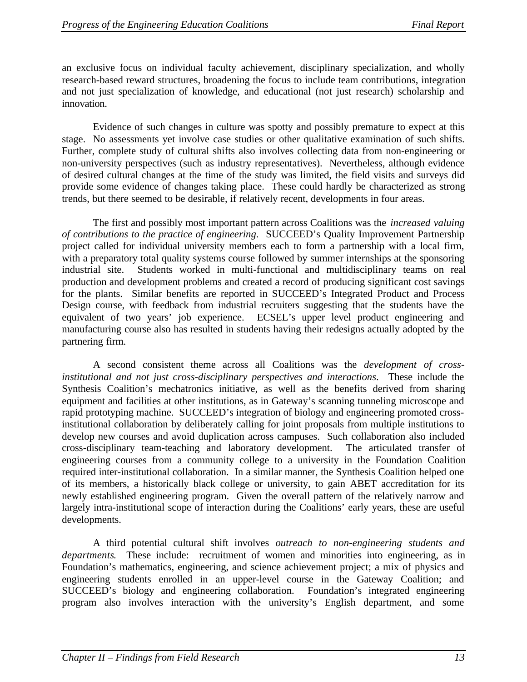an exclusive focus on individual faculty achievement, disciplinary specialization, and wholly research-based reward structures, broadening the focus to include team contributions, integration and not just specialization of knowledge, and educational (not just research) scholarship and innovation.

Evidence of such changes in culture was spotty and possibly premature to expect at this stage. No assessments yet involve case studies or other qualitative examination of such shifts. Further, complete study of cultural shifts also involves collecting data from non-engineering or non-university perspectives (such as industry representatives). Nevertheless, although evidence of desired cultural changes at the time of the study was limited, the field visits and surveys did provide some evidence of changes taking place. These could hardly be characterized as strong trends, but there seemed to be desirable, if relatively recent, developments in four areas.

The first and possibly most important pattern across Coalitions was the *increased valuing of contributions to the practice of engineering*. SUCCEED's Quality Improvement Partnership project called for individual university members each to form a partnership with a local firm, with a preparatory total quality systems course followed by summer internships at the sponsoring industrial site. Students worked in multi-functional and multidisciplinary teams on real production and development problems and created a record of producing significant cost savings for the plants. Similar benefits are reported in SUCCEED's Integrated Product and Process Design course, with feedback from industrial recruiters suggesting that the students have the equivalent of two years' job experience. ECSEL's upper level product engineering and manufacturing course also has resulted in students having their redesigns actually adopted by the partnering firm.

A second consistent theme across all Coalitions was the *development of crossinstitutional and not just cross-disciplinary perspectives and interactions*. These include the Synthesis Coalition's mechatronics initiative, as well as the benefits derived from sharing equipment and facilities at other institutions, as in Gateway's scanning tunneling microscope and rapid prototyping machine. SUCCEED's integration of biology and engineering promoted crossinstitutional collaboration by deliberately calling for joint proposals from multiple institutions to develop new courses and avoid duplication across campuses. Such collaboration also included cross-disciplinary team-teaching and laboratory development. The articulated transfer of engineering courses from a community college to a university in the Foundation Coalition required inter-institutional collaboration. In a similar manner, the Synthesis Coalition helped one of its members, a historically black college or university, to gain ABET accreditation for its newly established engineering program. Given the overall pattern of the relatively narrow and largely intra-institutional scope of interaction during the Coalitions' early years, these are useful developments.

A third potential cultural shift involves *outreach to non-engineering students and departments*. These include: recruitment of women and minorities into engineering, as in Foundation's mathematics, engineering, and science achievement project; a mix of physics and engineering students enrolled in an upper-level course in the Gateway Coalition; and SUCCEED's biology and engineering collaboration. Foundation's integrated engineering program also involves interaction with the university's English department, and some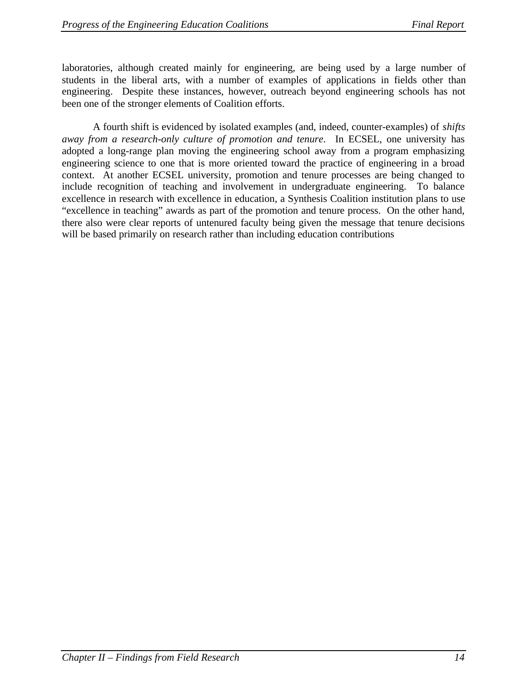laboratories, although created mainly for engineering, are being used by a large number of students in the liberal arts, with a number of examples of applications in fields other than engineering. Despite these instances, however, outreach beyond engineering schools has not been one of the stronger elements of Coalition efforts.

A fourth shift is evidenced by isolated examples (and, indeed, counter-examples) of *shifts away from a research-only culture of promotion and tenure*. In ECSEL, one university has adopted a long-range plan moving the engineering school away from a program emphasizing engineering science to one that is more oriented toward the practice of engineering in a broad context. At another ECSEL university, promotion and tenure processes are being changed to include recognition of teaching and involvement in undergraduate engineering. To balance excellence in research with excellence in education, a Synthesis Coalition institution plans to use "excellence in teaching" awards as part of the promotion and tenure process. On the other hand, there also were clear reports of untenured faculty being given the message that tenure decisions will be based primarily on research rather than including education contributions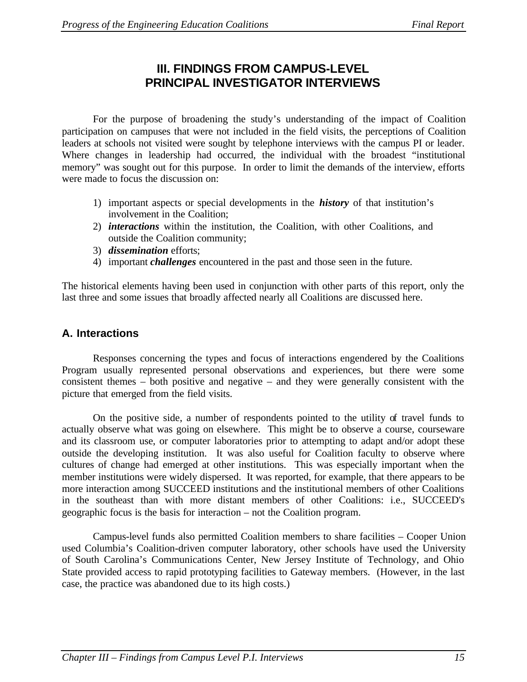# **III. FINDINGS FROM CAMPUS-LEVEL PRINCIPAL INVESTIGATOR INTERVIEWS**

For the purpose of broadening the study's understanding of the impact of Coalition participation on campuses that were not included in the field visits, the perceptions of Coalition leaders at schools not visited were sought by telephone interviews with the campus PI or leader. Where changes in leadership had occurred, the individual with the broadest "institutional memory" was sought out for this purpose. In order to limit the demands of the interview, efforts were made to focus the discussion on:

- 1) important aspects or special developments in the *history* of that institution's involvement in the Coalition;
- 2) *interactions* within the institution, the Coalition, with other Coalitions, and outside the Coalition community;
- 3) *dissemination* efforts;
- 4) important *challenges* encountered in the past and those seen in the future.

The historical elements having been used in conjunction with other parts of this report, only the last three and some issues that broadly affected nearly all Coalitions are discussed here.

# **A. Interactions**

Responses concerning the types and focus of interactions engendered by the Coalitions Program usually represented personal observations and experiences, but there were some consistent themes – both positive and negative – and they were generally consistent with the picture that emerged from the field visits.

On the positive side, a number of respondents pointed to the utility of travel funds to actually observe what was going on elsewhere. This might be to observe a course, courseware and its classroom use, or computer laboratories prior to attempting to adapt and/or adopt these outside the developing institution. It was also useful for Coalition faculty to observe where cultures of change had emerged at other institutions. This was especially important when the member institutions were widely dispersed. It was reported, for example, that there appears to be more interaction among SUCCEED institutions and the institutional members of other Coalitions in the southeast than with more distant members of other Coalitions: i.e., SUCCEED's geographic focus is the basis for interaction – not the Coalition program.

Campus-level funds also permitted Coalition members to share facilities – Cooper Union used Columbia's Coalition-driven computer laboratory, other schools have used the University of South Carolina's Communications Center, New Jersey Institute of Technology, and Ohio State provided access to rapid prototyping facilities to Gateway members. (However, in the last case, the practice was abandoned due to its high costs.)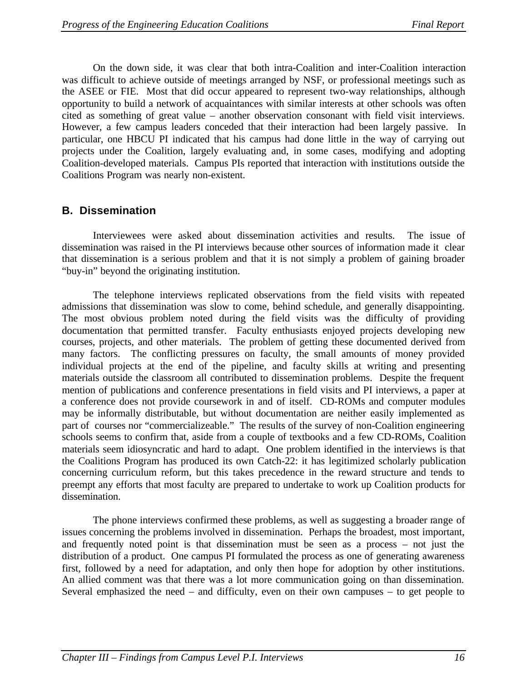On the down side, it was clear that both intra-Coalition and inter-Coalition interaction was difficult to achieve outside of meetings arranged by NSF, or professional meetings such as the ASEE or FIE. Most that did occur appeared to represent two-way relationships, although opportunity to build a network of acquaintances with similar interests at other schools was often cited as something of great value – another observation consonant with field visit interviews. However, a few campus leaders conceded that their interaction had been largely passive. In particular, one HBCU PI indicated that his campus had done little in the way of carrying out projects under the Coalition, largely evaluating and, in some cases, modifying and adopting Coalition-developed materials. Campus PIs reported that interaction with institutions outside the Coalitions Program was nearly non-existent.

# **B. Dissemination**

Interviewees were asked about dissemination activities and results. The issue of dissemination was raised in the PI interviews because other sources of information made it clear that dissemination is a serious problem and that it is not simply a problem of gaining broader "buy-in" beyond the originating institution.

The telephone interviews replicated observations from the field visits with repeated admissions that dissemination was slow to come, behind schedule, and generally disappointing. The most obvious problem noted during the field visits was the difficulty of providing documentation that permitted transfer. Faculty enthusiasts enjoyed projects developing new courses, projects, and other materials. The problem of getting these documented derived from many factors. The conflicting pressures on faculty, the small amounts of money provided individual projects at the end of the pipeline, and faculty skills at writing and presenting materials outside the classroom all contributed to dissemination problems. Despite the frequent mention of publications and conference presentations in field visits and PI interviews, a paper at a conference does not provide coursework in and of itself. CD-ROMs and computer modules may be informally distributable, but without documentation are neither easily implemented as part of courses nor "commercializeable." The results of the survey of non-Coalition engineering schools seems to confirm that, aside from a couple of textbooks and a few CD-ROMs, Coalition materials seem idiosyncratic and hard to adapt. One problem identified in the interviews is that the Coalitions Program has produced its own Catch-22: it has legitimized scholarly publication concerning curriculum reform, but this takes precedence in the reward structure and tends to preempt any efforts that most faculty are prepared to undertake to work up Coalition products for dissemination.

The phone interviews confirmed these problems, as well as suggesting a broader range of issues concerning the problems involved in dissemination. Perhaps the broadest, most important, and frequently noted point is that dissemination must be seen as a process – not just the distribution of a product. One campus PI formulated the process as one of generating awareness first, followed by a need for adaptation, and only then hope for adoption by other institutions. An allied comment was that there was a lot more communication going on than dissemination. Several emphasized the need – and difficulty, even on their own campuses – to get people to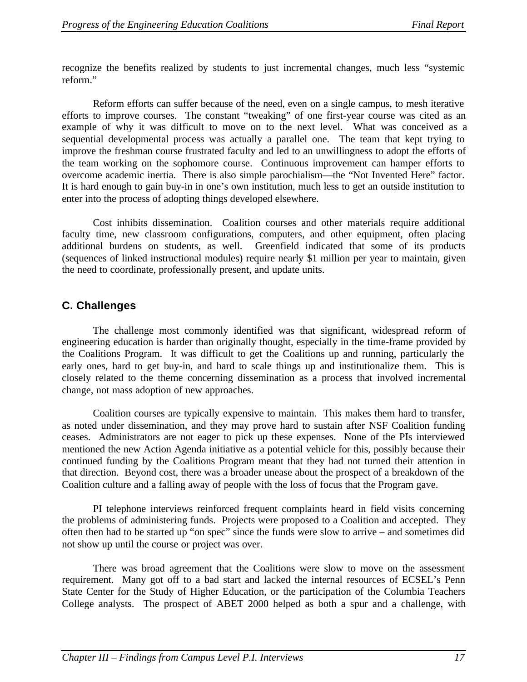recognize the benefits realized by students to just incremental changes, much less "systemic reform."

Reform efforts can suffer because of the need, even on a single campus, to mesh iterative efforts to improve courses. The constant "tweaking" of one first-year course was cited as an example of why it was difficult to move on to the next level. What was conceived as a sequential developmental process was actually a parallel one. The team that kept trying to improve the freshman course frustrated faculty and led to an unwillingness to adopt the efforts of the team working on the sophomore course. Continuous improvement can hamper efforts to overcome academic inertia. There is also simple parochialism—the "Not Invented Here" factor. It is hard enough to gain buy-in in one's own institution, much less to get an outside institution to enter into the process of adopting things developed elsewhere.

Cost inhibits dissemination. Coalition courses and other materials require additional faculty time, new classroom configurations, computers, and other equipment, often placing additional burdens on students, as well. Greenfield indicated that some of its products (sequences of linked instructional modules) require nearly \$1 million per year to maintain, given the need to coordinate, professionally present, and update units.

# **C. Challenges**

The challenge most commonly identified was that significant, widespread reform of engineering education is harder than originally thought, especially in the time-frame provided by the Coalitions Program. It was difficult to get the Coalitions up and running, particularly the early ones, hard to get buy-in, and hard to scale things up and institutionalize them. This is closely related to the theme concerning dissemination as a process that involved incremental change, not mass adoption of new approaches.

Coalition courses are typically expensive to maintain. This makes them hard to transfer, as noted under dissemination, and they may prove hard to sustain after NSF Coalition funding ceases. Administrators are not eager to pick up these expenses. None of the PIs interviewed mentioned the new Action Agenda initiative as a potential vehicle for this, possibly because their continued funding by the Coalitions Program meant that they had not turned their attention in that direction. Beyond cost, there was a broader unease about the prospect of a breakdown of the Coalition culture and a falling away of people with the loss of focus that the Program gave.

PI telephone interviews reinforced frequent complaints heard in field visits concerning the problems of administering funds. Projects were proposed to a Coalition and accepted. They often then had to be started up "on spec" since the funds were slow to arrive – and sometimes did not show up until the course or project was over.

There was broad agreement that the Coalitions were slow to move on the assessment requirement. Many got off to a bad start and lacked the internal resources of ECSEL's Penn State Center for the Study of Higher Education, or the participation of the Columbia Teachers College analysts. The prospect of ABET 2000 helped as both a spur and a challenge, with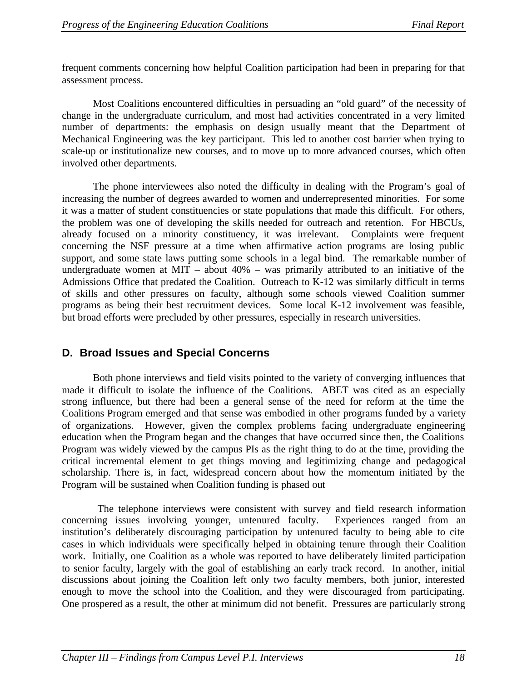frequent comments concerning how helpful Coalition participation had been in preparing for that assessment process.

Most Coalitions encountered difficulties in persuading an "old guard" of the necessity of change in the undergraduate curriculum, and most had activities concentrated in a very limited number of departments: the emphasis on design usually meant that the Department of Mechanical Engineering was the key participant. This led to another cost barrier when trying to scale-up or institutionalize new courses, and to move up to more advanced courses, which often involved other departments.

The phone interviewees also noted the difficulty in dealing with the Program's goal of increasing the number of degrees awarded to women and underrepresented minorities. For some it was a matter of student constituencies or state populations that made this difficult. For others, the problem was one of developing the skills needed for outreach and retention. For HBCUs, already focused on a minority constituency, it was irrelevant. Complaints were frequent concerning the NSF pressure at a time when affirmative action programs are losing public support, and some state laws putting some schools in a legal bind. The remarkable number of undergraduate women at MIT – about  $40\%$  – was primarily attributed to an initiative of the Admissions Office that predated the Coalition. Outreach to K-12 was similarly difficult in terms of skills and other pressures on faculty, although some schools viewed Coalition summer programs as being their best recruitment devices. Some local K-12 involvement was feasible, but broad efforts were precluded by other pressures, especially in research universities.

# **D. Broad Issues and Special Concerns**

Both phone interviews and field visits pointed to the variety of converging influences that made it difficult to isolate the influence of the Coalitions. ABET was cited as an especially strong influence, but there had been a general sense of the need for reform at the time the Coalitions Program emerged and that sense was embodied in other programs funded by a variety of organizations. However, given the complex problems facing undergraduate engineering education when the Program began and the changes that have occurred since then, the Coalitions Program was widely viewed by the campus PIs as the right thing to do at the time, providing the critical incremental element to get things moving and legitimizing change and pedagogical scholarship. There is, in fact, widespread concern about how the momentum initiated by the Program will be sustained when Coalition funding is phased out

 The telephone interviews were consistent with survey and field research information concerning issues involving younger, untenured faculty. Experiences ranged from an institution's deliberately discouraging participation by untenured faculty to being able to cite cases in which individuals were specifically helped in obtaining tenure through their Coalition work. Initially, one Coalition as a whole was reported to have deliberately limited participation to senior faculty, largely with the goal of establishing an early track record. In another, initial discussions about joining the Coalition left only two faculty members, both junior, interested enough to move the school into the Coalition, and they were discouraged from participating. One prospered as a result, the other at minimum did not benefit. Pressures are particularly strong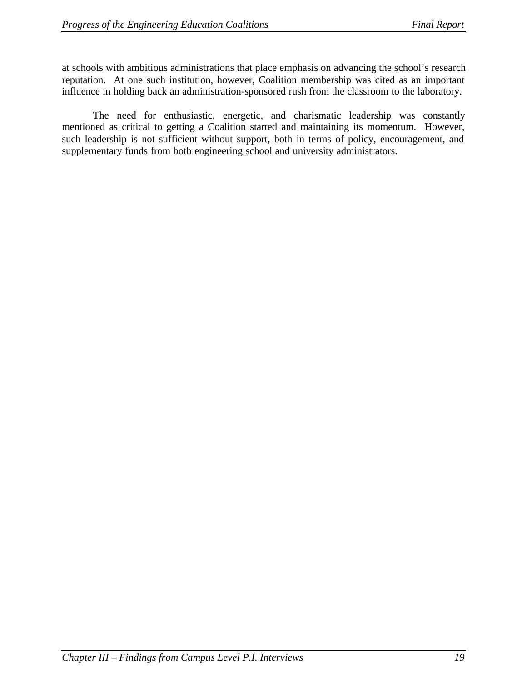at schools with ambitious administrations that place emphasis on advancing the school's research reputation. At one such institution, however, Coalition membership was cited as an important influence in holding back an administration-sponsored rush from the classroom to the laboratory.

The need for enthusiastic, energetic, and charismatic leadership was constantly mentioned as critical to getting a Coalition started and maintaining its momentum. However, such leadership is not sufficient without support, both in terms of policy, encouragement, and supplementary funds from both engineering school and university administrators.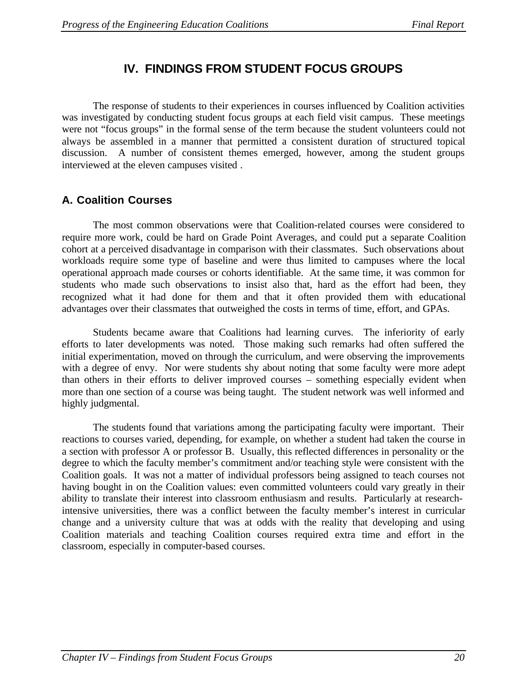# **IV. FINDINGS FROM STUDENT FOCUS GROUPS**

The response of students to their experiences in courses influenced by Coalition activities was investigated by conducting student focus groups at each field visit campus. These meetings were not "focus groups" in the formal sense of the term because the student volunteers could not always be assembled in a manner that permitted a consistent duration of structured topical discussion. A number of consistent themes emerged, however, among the student groups interviewed at the eleven campuses visited .

# **A. Coalition Courses**

The most common observations were that Coalition-related courses were considered to require more work, could be hard on Grade Point Averages, and could put a separate Coalition cohort at a perceived disadvantage in comparison with their classmates. Such observations about workloads require some type of baseline and were thus limited to campuses where the local operational approach made courses or cohorts identifiable. At the same time, it was common for students who made such observations to insist also that, hard as the effort had been, they recognized what it had done for them and that it often provided them with educational advantages over their classmates that outweighed the costs in terms of time, effort, and GPAs.

Students became aware that Coalitions had learning curves. The inferiority of early efforts to later developments was noted. Those making such remarks had often suffered the initial experimentation, moved on through the curriculum, and were observing the improvements with a degree of envy. Nor were students shy about noting that some faculty were more adept than others in their efforts to deliver improved courses – something especially evident when more than one section of a course was being taught. The student network was well informed and highly judgmental.

The students found that variations among the participating faculty were important. Their reactions to courses varied, depending, for example, on whether a student had taken the course in a section with professor A or professor B. Usually, this reflected differences in personality or the degree to which the faculty member's commitment and/or teaching style were consistent with the Coalition goals. It was not a matter of individual professors being assigned to teach courses not having bought in on the Coalition values: even committed volunteers could vary greatly in their ability to translate their interest into classroom enthusiasm and results. Particularly at researchintensive universities, there was a conflict between the faculty member's interest in curricular change and a university culture that was at odds with the reality that developing and using Coalition materials and teaching Coalition courses required extra time and effort in the classroom, especially in computer-based courses.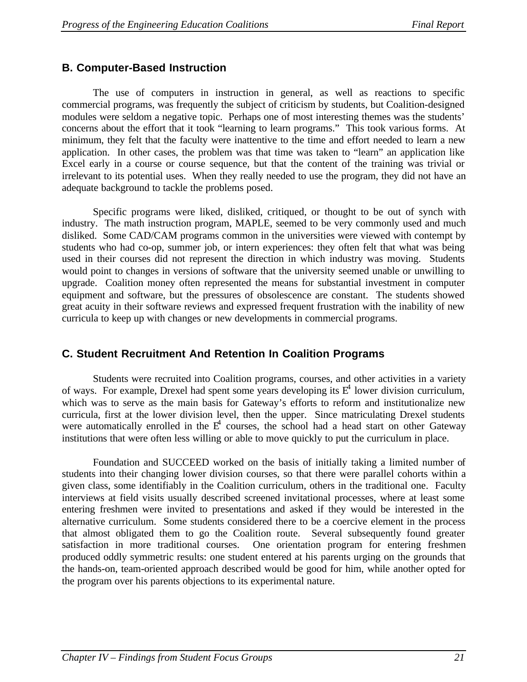# **B. Computer-Based Instruction**

The use of computers in instruction in general, as well as reactions to specific commercial programs, was frequently the subject of criticism by students, but Coalition-designed modules were seldom a negative topic. Perhaps one of most interesting themes was the students' concerns about the effort that it took "learning to learn programs." This took various forms. At minimum, they felt that the faculty were inattentive to the time and effort needed to learn a new application. In other cases, the problem was that time was taken to "learn" an application like Excel early in a course or course sequence, but that the content of the training was trivial or irrelevant to its potential uses. When they really needed to use the program, they did not have an adequate background to tackle the problems posed.

Specific programs were liked, disliked, critiqued, or thought to be out of synch with industry. The math instruction program, MAPLE, seemed to be very commonly used and much disliked. Some CAD/CAM programs common in the universities were viewed with contempt by students who had co-op, summer job, or intern experiences: they often felt that what was being used in their courses did not represent the direction in which industry was moving. Students would point to changes in versions of software that the university seemed unable or unwilling to upgrade. Coalition money often represented the means for substantial investment in computer equipment and software, but the pressures of obsolescence are constant. The students showed great acuity in their software reviews and expressed frequent frustration with the inability of new curricula to keep up with changes or new developments in commercial programs.

# **C. Student Recruitment And Retention In Coalition Programs**

Students were recruited into Coalition programs, courses, and other activities in a variety of ways. For example, Drexel had spent some years developing its  $E^4$  lower division curriculum, which was to serve as the main basis for Gateway's efforts to reform and institutionalize new curricula, first at the lower division level, then the upper. Since matriculating Drexel students were automatically enrolled in the  $E^4$  courses, the school had a head start on other Gateway institutions that were often less willing or able to move quickly to put the curriculum in place.

Foundation and SUCCEED worked on the basis of initially taking a limited number of students into their changing lower division courses, so that there were parallel cohorts within a given class, some identifiably in the Coalition curriculum, others in the traditional one. Faculty interviews at field visits usually described screened invitational processes, where at least some entering freshmen were invited to presentations and asked if they would be interested in the alternative curriculum. Some students considered there to be a coercive element in the process that almost obligated them to go the Coalition route. Several subsequently found greater satisfaction in more traditional courses. One orientation program for entering freshmen produced oddly symmetric results: one student entered at his parents urging on the grounds that the hands-on, team-oriented approach described would be good for him, while another opted for the program over his parents objections to its experimental nature.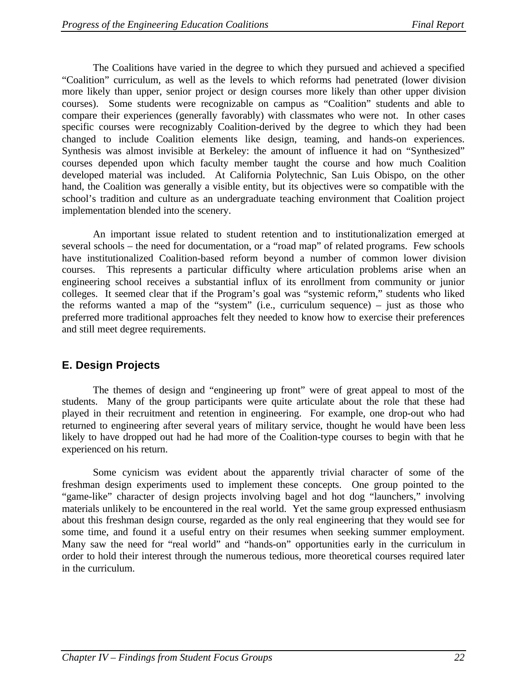The Coalitions have varied in the degree to which they pursued and achieved a specified "Coalition" curriculum, as well as the levels to which reforms had penetrated (lower division more likely than upper, senior project or design courses more likely than other upper division courses). Some students were recognizable on campus as "Coalition" students and able to compare their experiences (generally favorably) with classmates who were not. In other cases specific courses were recognizably Coalition-derived by the degree to which they had been changed to include Coalition elements like design, teaming, and hands-on experiences. Synthesis was almost invisible at Berkeley: the amount of influence it had on "Synthesized" courses depended upon which faculty member taught the course and how much Coalition developed material was included. At California Polytechnic, San Luis Obispo, on the other hand, the Coalition was generally a visible entity, but its objectives were so compatible with the school's tradition and culture as an undergraduate teaching environment that Coalition project implementation blended into the scenery.

An important issue related to student retention and to institutionalization emerged at several schools – the need for documentation, or a "road map" of related programs. Few schools have institutionalized Coalition-based reform beyond a number of common lower division courses. This represents a particular difficulty where articulation problems arise when an engineering school receives a substantial influx of its enrollment from community or junior colleges. It seemed clear that if the Program's goal was "systemic reform," students who liked the reforms wanted a map of the "system" (i.e., curriculum sequence) – just as those who preferred more traditional approaches felt they needed to know how to exercise their preferences and still meet degree requirements.

# **E. Design Projects**

The themes of design and "engineering up front" were of great appeal to most of the students. Many of the group participants were quite articulate about the role that these had played in their recruitment and retention in engineering. For example, one drop-out who had returned to engineering after several years of military service, thought he would have been less likely to have dropped out had he had more of the Coalition-type courses to begin with that he experienced on his return.

Some cynicism was evident about the apparently trivial character of some of the freshman design experiments used to implement these concepts. One group pointed to the "game-like" character of design projects involving bagel and hot dog "launchers," involving materials unlikely to be encountered in the real world. Yet the same group expressed enthusiasm about this freshman design course, regarded as the only real engineering that they would see for some time, and found it a useful entry on their resumes when seeking summer employment. Many saw the need for "real world" and "hands-on" opportunities early in the curriculum in order to hold their interest through the numerous tedious, more theoretical courses required later in the curriculum.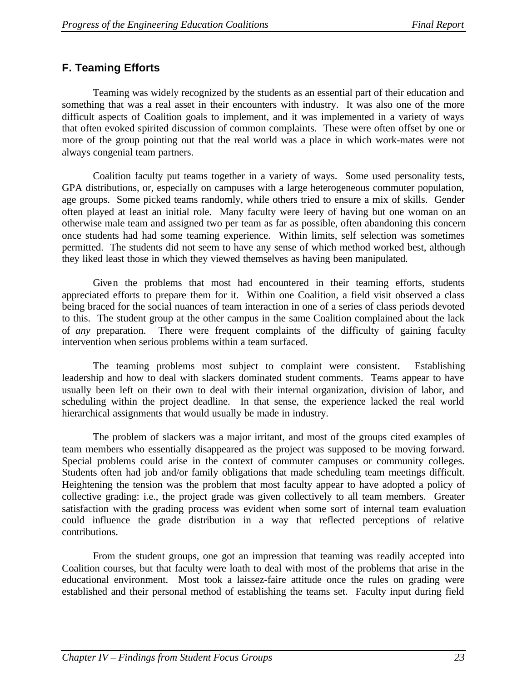# **F. Teaming Efforts**

Teaming was widely recognized by the students as an essential part of their education and something that was a real asset in their encounters with industry. It was also one of the more difficult aspects of Coalition goals to implement, and it was implemented in a variety of ways that often evoked spirited discussion of common complaints. These were often offset by one or more of the group pointing out that the real world was a place in which work-mates were not always congenial team partners.

Coalition faculty put teams together in a variety of ways. Some used personality tests, GPA distributions, or, especially on campuses with a large heterogeneous commuter population, age groups. Some picked teams randomly, while others tried to ensure a mix of skills. Gender often played at least an initial role. Many faculty were leery of having but one woman on an otherwise male team and assigned two per team as far as possible, often abandoning this concern once students had had some teaming experience. Within limits, self selection was sometimes permitted. The students did not seem to have any sense of which method worked best, although they liked least those in which they viewed themselves as having been manipulated.

Given the problems that most had encountered in their teaming efforts, students appreciated efforts to prepare them for it. Within one Coalition, a field visit observed a class being braced for the social nuances of team interaction in one of a series of class periods devoted to this. The student group at the other campus in the same Coalition complained about the lack of *any* preparation. There were frequent complaints of the difficulty of gaining faculty intervention when serious problems within a team surfaced.

The teaming problems most subject to complaint were consistent. Establishing leadership and how to deal with slackers dominated student comments. Teams appear to have usually been left on their own to deal with their internal organization, division of labor, and scheduling within the project deadline. In that sense, the experience lacked the real world hierarchical assignments that would usually be made in industry.

The problem of slackers was a major irritant, and most of the groups cited examples of team members who essentially disappeared as the project was supposed to be moving forward. Special problems could arise in the context of commuter campuses or community colleges. Students often had job and/or family obligations that made scheduling team meetings difficult. Heightening the tension was the problem that most faculty appear to have adopted a policy of collective grading: i.e., the project grade was given collectively to all team members. Greater satisfaction with the grading process was evident when some sort of internal team evaluation could influence the grade distribution in a way that reflected perceptions of relative contributions.

From the student groups, one got an impression that teaming was readily accepted into Coalition courses, but that faculty were loath to deal with most of the problems that arise in the educational environment. Most took a laissez-faire attitude once the rules on grading were established and their personal method of establishing the teams set. Faculty input during field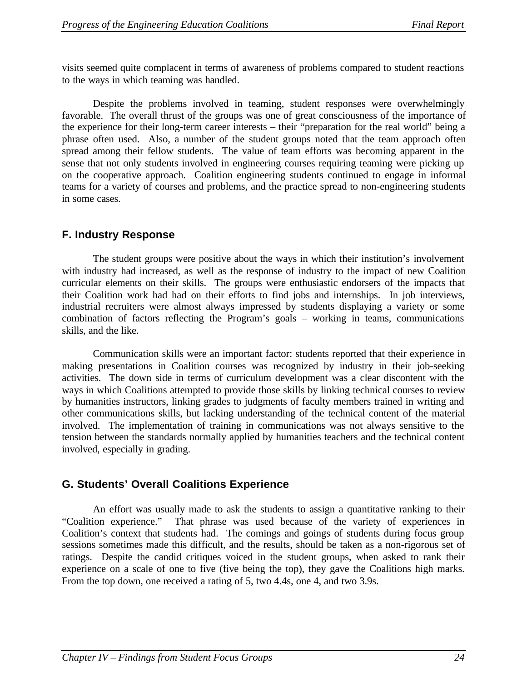visits seemed quite complacent in terms of awareness of problems compared to student reactions to the ways in which teaming was handled.

Despite the problems involved in teaming, student responses were overwhelmingly favorable. The overall thrust of the groups was one of great consciousness of the importance of the experience for their long-term career interests – their "preparation for the real world" being a phrase often used. Also, a number of the student groups noted that the team approach often spread among their fellow students. The value of team efforts was becoming apparent in the sense that not only students involved in engineering courses requiring teaming were picking up on the cooperative approach. Coalition engineering students continued to engage in informal teams for a variety of courses and problems, and the practice spread to non-engineering students in some cases.

# **F. Industry Response**

The student groups were positive about the ways in which their institution's involvement with industry had increased, as well as the response of industry to the impact of new Coalition curricular elements on their skills. The groups were enthusiastic endorsers of the impacts that their Coalition work had had on their efforts to find jobs and internships. In job interviews, industrial recruiters were almost always impressed by students displaying a variety or some combination of factors reflecting the Program's goals – working in teams, communications skills, and the like.

Communication skills were an important factor: students reported that their experience in making presentations in Coalition courses was recognized by industry in their job-seeking activities. The down side in terms of curriculum development was a clear discontent with the ways in which Coalitions attempted to provide those skills by linking technical courses to review by humanities instructors, linking grades to judgments of faculty members trained in writing and other communications skills, but lacking understanding of the technical content of the material involved. The implementation of training in communications was not always sensitive to the tension between the standards normally applied by humanities teachers and the technical content involved, especially in grading.

# **G. Students' Overall Coalitions Experience**

An effort was usually made to ask the students to assign a quantitative ranking to their "Coalition experience." That phrase was used because of the variety of experiences in Coalition's context that students had. The comings and goings of students during focus group sessions sometimes made this difficult, and the results, should be taken as a non-rigorous set of ratings. Despite the candid critiques voiced in the student groups, when asked to rank their experience on a scale of one to five (five being the top), they gave the Coalitions high marks. From the top down, one received a rating of 5, two 4.4s, one 4, and two 3.9s.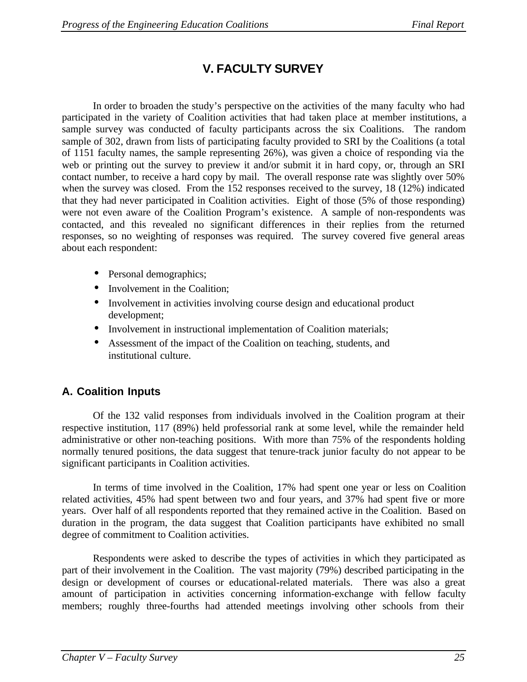# **V. FACULTY SURVEY**

In order to broaden the study's perspective on the activities of the many faculty who had participated in the variety of Coalition activities that had taken place at member institutions, a sample survey was conducted of faculty participants across the six Coalitions. The random sample of 302, drawn from lists of participating faculty provided to SRI by the Coalitions (a total of 1151 faculty names, the sample representing 26%), was given a choice of responding via the web or printing out the survey to preview it and/or submit it in hard copy, or, through an SRI contact number, to receive a hard copy by mail. The overall response rate was slightly over 50% when the survey was closed. From the 152 responses received to the survey, 18 (12%) indicated that they had never participated in Coalition activities. Eight of those (5% of those responding) were not even aware of the Coalition Program's existence. A sample of non-respondents was contacted, and this revealed no significant differences in their replies from the returned responses, so no weighting of responses was required. The survey covered five general areas about each respondent:

- Personal demographics;
- Involvement in the Coalition;
- Involvement in activities involving course design and educational product development;
- Involvement in instructional implementation of Coalition materials;
- Assessment of the impact of the Coalition on teaching, students, and institutional culture.

# **A. Coalition Inputs**

Of the 132 valid responses from individuals involved in the Coalition program at their respective institution, 117 (89%) held professorial rank at some level, while the remainder held administrative or other non-teaching positions. With more than 75% of the respondents holding normally tenured positions, the data suggest that tenure-track junior faculty do not appear to be significant participants in Coalition activities.

In terms of time involved in the Coalition, 17% had spent one year or less on Coalition related activities, 45% had spent between two and four years, and 37% had spent five or more years. Over half of all respondents reported that they remained active in the Coalition. Based on duration in the program, the data suggest that Coalition participants have exhibited no small degree of commitment to Coalition activities.

Respondents were asked to describe the types of activities in which they participated as part of their involvement in the Coalition. The vast majority (79%) described participating in the design or development of courses or educational-related materials. There was also a great amount of participation in activities concerning information-exchange with fellow faculty members; roughly three-fourths had attended meetings involving other schools from their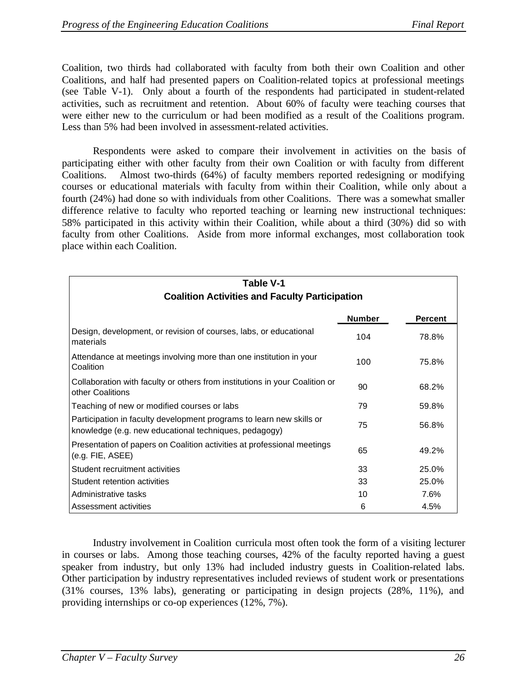Coalition, two thirds had collaborated with faculty from both their own Coalition and other Coalitions, and half had presented papers on Coalition-related topics at professional meetings (see Table V-1). Only about a fourth of the respondents had participated in student-related activities, such as recruitment and retention. About 60% of faculty were teaching courses that were either new to the curriculum or had been modified as a result of the Coalitions program. Less than 5% had been involved in assessment-related activities.

Respondents were asked to compare their involvement in activities on the basis of participating either with other faculty from their own Coalition or with faculty from different Coalitions. Almost two-thirds (64%) of faculty members reported redesigning or modifying courses or educational materials with faculty from within their Coalition, while only about a fourth (24%) had done so with individuals from other Coalitions. There was a somewhat smaller difference relative to faculty who reported teaching or learning new instructional techniques: 58% participated in this activity within their Coalition, while about a third (30%) did so with faculty from other Coalitions. Aside from more informal exchanges, most collaboration took place within each Coalition.

| Table V-1<br><b>Coalition Activities and Faculty Participation</b>                                                            |               |                |  |  |
|-------------------------------------------------------------------------------------------------------------------------------|---------------|----------------|--|--|
|                                                                                                                               | <b>Number</b> | <b>Percent</b> |  |  |
| Design, development, or revision of courses, labs, or educational<br>materials                                                | 104           | 78.8%          |  |  |
| Attendance at meetings involving more than one institution in your<br>Coalition                                               | 100           | 75.8%          |  |  |
| Collaboration with faculty or others from institutions in your Coalition or<br>other Coalitions                               | 90            | 68.2%          |  |  |
| Teaching of new or modified courses or labs                                                                                   | 79            | 59.8%          |  |  |
| Participation in faculty development programs to learn new skills or<br>knowledge (e.g. new educational techniques, pedagogy) | 75            | 56.8%          |  |  |
| Presentation of papers on Coalition activities at professional meetings<br>(e.g. FIE, ASEE)                                   | 65            | 49.2%          |  |  |
| Student recruitment activities                                                                                                | 33            | 25.0%          |  |  |
| Student retention activities                                                                                                  | 33            | 25.0%          |  |  |
| Administrative tasks                                                                                                          | 10            | 7.6%           |  |  |
| Assessment activities                                                                                                         | 6             | 4.5%           |  |  |

Industry involvement in Coalition curricula most often took the form of a visiting lecturer in courses or labs. Among those teaching courses, 42% of the faculty reported having a guest speaker from industry, but only 13% had included industry guests in Coalition-related labs. Other participation by industry representatives included reviews of student work or presentations (31% courses, 13% labs), generating or participating in design projects (28%, 11%), and providing internships or co-op experiences (12%, 7%).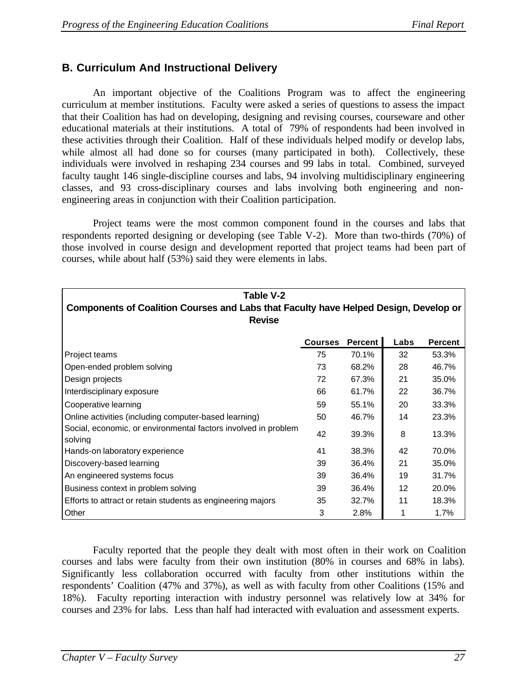# **B. Curriculum And Instructional Delivery**

An important objective of the Coalitions Program was to affect the engineering curriculum at member institutions. Faculty were asked a series of questions to assess the impact that their Coalition has had on developing, designing and revising courses, courseware and other educational materials at their institutions. A total of 79% of respondents had been involved in these activities through their Coalition. Half of these individuals helped modify or develop labs, while almost all had done so for courses (many participated in both). Collectively, these individuals were involved in reshaping 234 courses and 99 labs in total. Combined, surveyed faculty taught 146 single-discipline courses and labs, 94 involving multidisciplinary engineering classes, and 93 cross-disciplinary courses and labs involving both engineering and nonengineering areas in conjunction with their Coalition participation.

Project teams were the most common component found in the courses and labs that respondents reported designing or developing (see Table V-2). More than two-thirds (70%) of those involved in course design and development reported that project teams had been part of courses, while about half (53%) said they were elements in labs.

| Table V-2<br><b>Components of Coalition Courses and Labs that Faculty have Helped Design, Develop or</b><br><b>Revise</b> |                |         |      |                |
|---------------------------------------------------------------------------------------------------------------------------|----------------|---------|------|----------------|
|                                                                                                                           | <b>Courses</b> | Percent | Labs | <b>Percent</b> |
| Project teams                                                                                                             | 75             | 70.1%   | 32   | 53.3%          |
| Open-ended problem solving                                                                                                | 73             | 68.2%   | 28   | 46.7%          |
| Design projects                                                                                                           | 72             | 67.3%   | 21   | 35.0%          |
| Interdisciplinary exposure                                                                                                | 66             | 61.7%   | 22   | 36.7%          |
| Cooperative learning                                                                                                      | 59             | 55.1%   | 20   | 33.3%          |
| Online activities (including computer-based learning)                                                                     | 50             | 46.7%   | 14   | 23.3%          |
| Social, economic, or environmental factors involved in problem<br>solving                                                 | 42             | 39.3%   | 8    | 13.3%          |
| Hands-on laboratory experience                                                                                            | 41             | 38.3%   | 42   | 70.0%          |
| Discovery-based learning                                                                                                  | 39             | 36.4%   | 21   | 35.0%          |
| An engineered systems focus                                                                                               | 39             | 36.4%   | 19   | 31.7%          |
| Business context in problem solving                                                                                       | 39             | 36.4%   | 12   | 20.0%          |
| Efforts to attract or retain students as engineering majors                                                               | 35             | 32.7%   | 11   | 18.3%          |
| Other                                                                                                                     | 3              | 2.8%    | 1    | $1.7\%$        |

Faculty reported that the people they dealt with most often in their work on Coalition courses and labs were faculty from their own institution (80% in courses and 68% in labs). Significantly less collaboration occurred with faculty from other institutions within the respondents' Coalition (47% and 37%), as well as with faculty from other Coalitions (15% and 18%). Faculty reporting interaction with industry personnel was relatively low at 34% for courses and 23% for labs. Less than half had interacted with evaluation and assessment experts.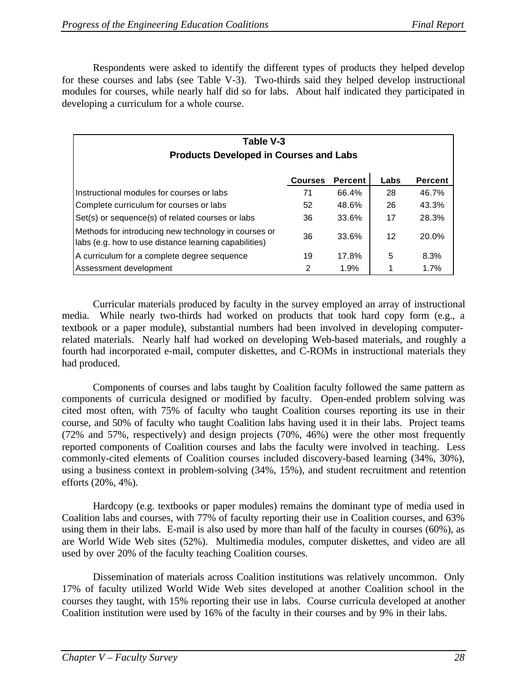Respondents were asked to identify the different types of products they helped develop for these courses and labs (see Table V-3). Two-thirds said they helped develop instructional modules for courses, while nearly half did so for labs. About half indicated they participated in developing a curriculum for a whole course.

| Table V-3<br><b>Products Developed in Courses and Labs</b>                                                    |                |                |      |                |
|---------------------------------------------------------------------------------------------------------------|----------------|----------------|------|----------------|
|                                                                                                               | <b>Courses</b> | <b>Percent</b> | Labs | <b>Percent</b> |
| Instructional modules for courses or labs                                                                     | 71             | 66.4%          | 28   | 46.7%          |
| Complete curriculum for courses or labs                                                                       | 52             | 48.6%          | 26   | 43.3%          |
| Set(s) or sequence(s) of related courses or labs                                                              | 36             | 33.6%          | 17   | 28.3%          |
| Methods for introducing new technology in courses or<br>labs (e.g. how to use distance learning capabilities) | 36             | 33.6%          | 12   | 20.0%          |
| A curriculum for a complete degree sequence                                                                   | 19             | 17.8%          | 5    | 8.3%           |
| Assessment development                                                                                        | 2              | 1.9%           |      | 1.7%           |

Curricular materials produced by faculty in the survey employed an array of instructional media. While nearly two-thirds had worked on products that took hard copy form (e.g., a textbook or a paper module), substantial numbers had been involved in developing computerrelated materials. Nearly half had worked on developing Web-based materials, and roughly a fourth had incorporated e-mail, computer diskettes, and C-ROMs in instructional materials they had produced.

Components of courses and labs taught by Coalition faculty followed the same pattern as components of curricula designed or modified by faculty. Open-ended problem solving was cited most often, with 75% of faculty who taught Coalition courses reporting its use in their course, and 50% of faculty who taught Coalition labs having used it in their labs. Project teams (72% and 57%, respectively) and design projects (70%, 46%) were the other most frequently reported components of Coalition courses and labs the faculty were involved in teaching. Less commonly-cited elements of Coalition courses included discovery-based learning (34%, 30%), using a business context in problem-solving (34%, 15%), and student recruitment and retention efforts (20%, 4%).

Hardcopy (e.g. textbooks or paper modules) remains the dominant type of media used in Coalition labs and courses, with 77% of faculty reporting their use in Coalition courses, and 63% using them in their labs. E-mail is also used by more than half of the faculty in courses (60%), as are World Wide Web sites (52%). Multimedia modules, computer diskettes, and video are all used by over 20% of the faculty teaching Coalition courses.

Dissemination of materials across Coalition institutions was relatively uncommon. Only 17% of faculty utilized World Wide Web sites developed at another Coalition school in the courses they taught, with 15% reporting their use in labs. Course curricula developed at another Coalition institution were used by 16% of the faculty in their courses and by 9% in their labs.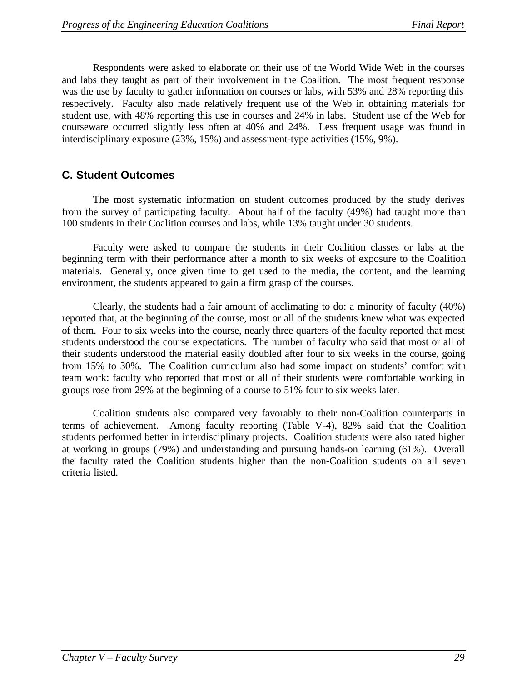Respondents were asked to elaborate on their use of the World Wide Web in the courses and labs they taught as part of their involvement in the Coalition. The most frequent response was the use by faculty to gather information on courses or labs, with 53% and 28% reporting this respectively. Faculty also made relatively frequent use of the Web in obtaining materials for student use, with 48% reporting this use in courses and 24% in labs. Student use of the Web for courseware occurred slightly less often at 40% and 24%. Less frequent usage was found in interdisciplinary exposure (23%, 15%) and assessment-type activities (15%, 9%).

# **C. Student Outcomes**

The most systematic information on student outcomes produced by the study derives from the survey of participating faculty. About half of the faculty (49%) had taught more than 100 students in their Coalition courses and labs, while 13% taught under 30 students.

Faculty were asked to compare the students in their Coalition classes or labs at the beginning term with their performance after a month to six weeks of exposure to the Coalition materials. Generally, once given time to get used to the media, the content, and the learning environment, the students appeared to gain a firm grasp of the courses.

Clearly, the students had a fair amount of acclimating to do: a minority of faculty (40%) reported that, at the beginning of the course, most or all of the students knew what was expected of them. Four to six weeks into the course, nearly three quarters of the faculty reported that most students understood the course expectations. The number of faculty who said that most or all of their students understood the material easily doubled after four to six weeks in the course, going from 15% to 30%. The Coalition curriculum also had some impact on students' comfort with team work: faculty who reported that most or all of their students were comfortable working in groups rose from 29% at the beginning of a course to 51% four to six weeks later.

Coalition students also compared very favorably to their non-Coalition counterparts in terms of achievement. Among faculty reporting (Table V-4), 82% said that the Coalition students performed better in interdisciplinary projects. Coalition students were also rated higher at working in groups (79%) and understanding and pursuing hands-on learning (61%). Overall the faculty rated the Coalition students higher than the non-Coalition students on all seven criteria listed.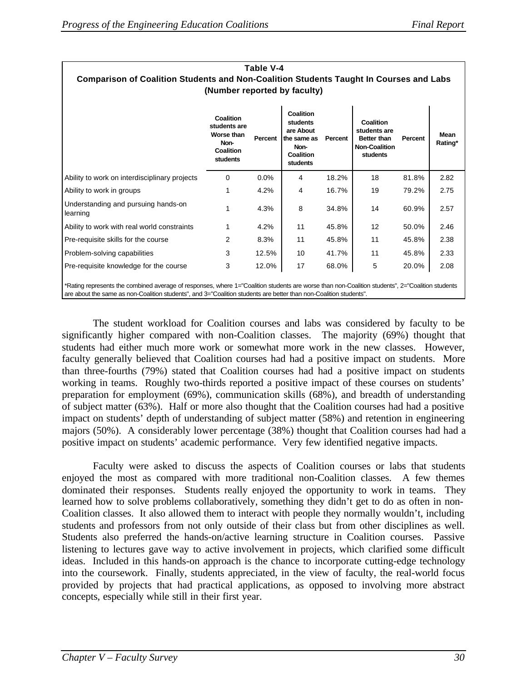| Table V-4                                                                                                                                                                                                                                                            |                                                                          |                |                                                                                    |         |                                                                                     |                |                 |
|----------------------------------------------------------------------------------------------------------------------------------------------------------------------------------------------------------------------------------------------------------------------|--------------------------------------------------------------------------|----------------|------------------------------------------------------------------------------------|---------|-------------------------------------------------------------------------------------|----------------|-----------------|
| Comparison of Coalition Students and Non-Coalition Students Taught In Courses and Labs                                                                                                                                                                               |                                                                          |                |                                                                                    |         |                                                                                     |                |                 |
| (Number reported by faculty)                                                                                                                                                                                                                                         |                                                                          |                |                                                                                    |         |                                                                                     |                |                 |
|                                                                                                                                                                                                                                                                      | Coalition<br>students are<br>Worse than<br>Non-<br>Coalition<br>students | <b>Percent</b> | Coalition<br>students<br>are About<br>the same as<br>Non-<br>Coalition<br>students | Percent | Coalition<br>students are<br><b>Better than</b><br><b>Non-Coalition</b><br>students | <b>Percent</b> | Mean<br>Rating* |
| Ability to work on interdisciplinary projects                                                                                                                                                                                                                        | $\Omega$                                                                 | $0.0\%$        | 4                                                                                  | 18.2%   | 18                                                                                  | 81.8%          | 2.82            |
| Ability to work in groups                                                                                                                                                                                                                                            |                                                                          | 4.2%           | 4                                                                                  | 16.7%   | 19                                                                                  | 79.2%          | 2.75            |
| Understanding and pursuing hands-on<br>learning                                                                                                                                                                                                                      |                                                                          | 4.3%           | 8                                                                                  | 34.8%   | 14                                                                                  | 60.9%          | 2.57            |
| Ability to work with real world constraints                                                                                                                                                                                                                          |                                                                          | 4.2%           | 11                                                                                 | 45.8%   | 12                                                                                  | 50.0%          | 2.46            |
| Pre-requisite skills for the course                                                                                                                                                                                                                                  | 2                                                                        | 8.3%           | 11                                                                                 | 45.8%   | 11                                                                                  | 45.8%          | 2.38            |
| Problem-solving capabilities                                                                                                                                                                                                                                         | 3                                                                        | 12.5%          | 10                                                                                 | 41.7%   | 11                                                                                  | 45.8%          | 2.33            |
| Pre-requisite knowledge for the course                                                                                                                                                                                                                               | 3                                                                        | 12.0%          | 17                                                                                 | 68.0%   | 5                                                                                   | 20.0%          | 2.08            |
| *Rating represents the combined average of responses, where 1="Coalition students are worse than non-Coalition students", 2="Coalition students<br>are about the same as non-Coalition students", and 3="Coalition students are better than non-Coalition students". |                                                                          |                |                                                                                    |         |                                                                                     |                |                 |

The student workload for Coalition courses and labs was considered by faculty to be significantly higher compared with non-Coalition classes. The majority (69%) thought that students had either much more work or somewhat more work in the new classes. However, faculty generally believed that Coalition courses had had a positive impact on students. More than three-fourths (79%) stated that Coalition courses had had a positive impact on students working in teams. Roughly two-thirds reported a positive impact of these courses on students' preparation for employment (69%), communication skills (68%), and breadth of understanding of subject matter (63%). Half or more also thought that the Coalition courses had had a positive impact on students' depth of understanding of subject matter (58%) and retention in engineering majors (50%). A considerably lower percentage (38%) thought that Coalition courses had had a positive impact on students' academic performance. Very few identified negative impacts.

Faculty were asked to discuss the aspects of Coalition courses or labs that students enjoyed the most as compared with more traditional non-Coalition classes. A few themes dominated their responses. Students really enjoyed the opportunity to work in teams. They learned how to solve problems collaboratively, something they didn't get to do as often in non-Coalition classes. It also allowed them to interact with people they normally wouldn't, including students and professors from not only outside of their class but from other disciplines as well. Students also preferred the hands-on/active learning structure in Coalition courses. Passive listening to lectures gave way to active involvement in projects, which clarified some difficult ideas. Included in this hands-on approach is the chance to incorporate cutting-edge technology into the coursework. Finally, students appreciated, in the view of faculty, the real-world focus provided by projects that had practical applications, as opposed to involving more abstract concepts, especially while still in their first year.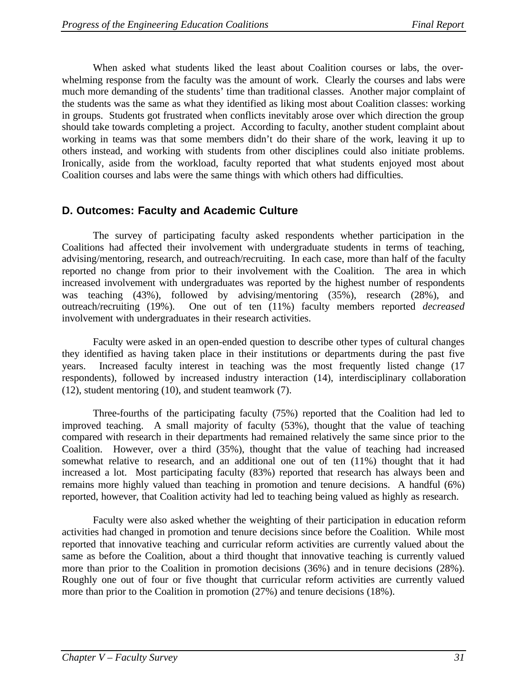When asked what students liked the least about Coalition courses or labs, the overwhelming response from the faculty was the amount of work. Clearly the courses and labs were much more demanding of the students' time than traditional classes. Another major complaint of the students was the same as what they identified as liking most about Coalition classes: working in groups. Students got frustrated when conflicts inevitably arose over which direction the group should take towards completing a project. According to faculty, another student complaint about working in teams was that some members didn't do their share of the work, leaving it up to others instead, and working with students from other disciplines could also initiate problems. Ironically, aside from the workload, faculty reported that what students enjoyed most about Coalition courses and labs were the same things with which others had difficulties.

# **D. Outcomes: Faculty and Academic Culture**

The survey of participating faculty asked respondents whether participation in the Coalitions had affected their involvement with undergraduate students in terms of teaching, advising/mentoring, research, and outreach/recruiting. In each case, more than half of the faculty reported no change from prior to their involvement with the Coalition. The area in which increased involvement with undergraduates was reported by the highest number of respondents was teaching (43%), followed by advising/mentoring (35%), research (28%), and outreach/recruiting (19%). One out of ten (11%) faculty members reported *decreased* involvement with undergraduates in their research activities.

Faculty were asked in an open-ended question to describe other types of cultural changes they identified as having taken place in their institutions or departments during the past five years. Increased faculty interest in teaching was the most frequently listed change (17 respondents), followed by increased industry interaction (14), interdisciplinary collaboration (12), student mentoring (10), and student teamwork (7).

Three-fourths of the participating faculty (75%) reported that the Coalition had led to improved teaching. A small majority of faculty (53%), thought that the value of teaching compared with research in their departments had remained relatively the same since prior to the Coalition. However, over a third (35%), thought that the value of teaching had increased somewhat relative to research, and an additional one out of ten (11%) thought that it had increased a lot. Most participating faculty (83%) reported that research has always been and remains more highly valued than teaching in promotion and tenure decisions. A handful (6%) reported, however, that Coalition activity had led to teaching being valued as highly as research.

Faculty were also asked whether the weighting of their participation in education reform activities had changed in promotion and tenure decisions since before the Coalition. While most reported that innovative teaching and curricular reform activities are currently valued about the same as before the Coalition, about a third thought that innovative teaching is currently valued more than prior to the Coalition in promotion decisions (36%) and in tenure decisions (28%). Roughly one out of four or five thought that curricular reform activities are currently valued more than prior to the Coalition in promotion (27%) and tenure decisions (18%).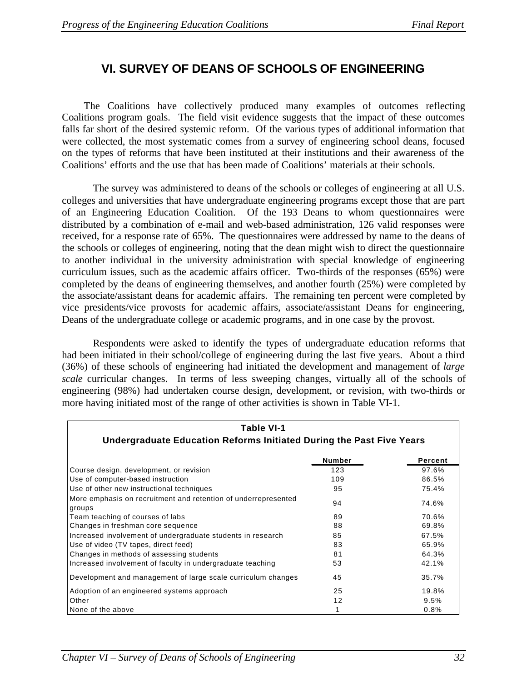# **VI. SURVEY OF DEANS OF SCHOOLS OF ENGINEERING**

The Coalitions have collectively produced many examples of outcomes reflecting Coalitions program goals. The field visit evidence suggests that the impact of these outcomes falls far short of the desired systemic reform. Of the various types of additional information that were collected, the most systematic comes from a survey of engineering school deans, focused on the types of reforms that have been instituted at their institutions and their awareness of the Coalitions' efforts and the use that has been made of Coalitions' materials at their schools.

The survey was administered to deans of the schools or colleges of engineering at all U.S. colleges and universities that have undergraduate engineering programs except those that are part of an Engineering Education Coalition. Of the 193 Deans to whom questionnaires were distributed by a combination of e-mail and web-based administration, 126 valid responses were received, for a response rate of 65%. The questionnaires were addressed by name to the deans of the schools or colleges of engineering, noting that the dean might wish to direct the questionnaire to another individual in the university administration with special knowledge of engineering curriculum issues, such as the academic affairs officer. Two-thirds of the responses (65%) were completed by the deans of engineering themselves, and another fourth (25%) were completed by the associate/assistant deans for academic affairs. The remaining ten percent were completed by vice presidents/vice provosts for academic affairs, associate/assistant Deans for engineering, Deans of the undergraduate college or academic programs, and in one case by the provost.

Respondents were asked to identify the types of undergraduate education reforms that had been initiated in their school/college of engineering during the last five years. About a third (36%) of these schools of engineering had initiated the development and management of *large scale* curricular changes. In terms of less sweeping changes, virtually all of the schools of engineering (98%) had undertaken course design, development, or revision, with two-thirds or more having initiated most of the range of other activities is shown in Table VI-1.

| Table VI-1<br>Undergraduate Education Reforms Initiated During the Past Five Years |        |         |  |
|------------------------------------------------------------------------------------|--------|---------|--|
|                                                                                    | Number | Percent |  |
| Course design, development, or revision                                            | 123    | 97.6%   |  |
| Use of computer-based instruction                                                  | 109    | 86.5%   |  |
| Use of other new instructional techniques                                          | 95     | 75.4%   |  |
| More emphasis on recruitment and retention of underrepresented<br>groups           | 94     | 74.6%   |  |
| Team teaching of courses of labs                                                   | 89     | 70.6%   |  |
| Changes in freshman core sequence                                                  | 88     | 69.8%   |  |
| Increased involvement of undergraduate students in research                        | 85     | 67.5%   |  |
| Use of video (TV tapes, direct feed)                                               | 83     | 65.9%   |  |
| Changes in methods of assessing students                                           | 81     | 64.3%   |  |
| Increased involvement of faculty in undergraduate teaching                         | 53     | 42.1%   |  |
| Development and management of large scale curriculum changes                       | 45     | 35.7%   |  |
| Adoption of an engineered systems approach                                         | 25     | 19.8%   |  |
| Other                                                                              | 12     | 9.5%    |  |
| None of the above                                                                  |        | 0.8%    |  |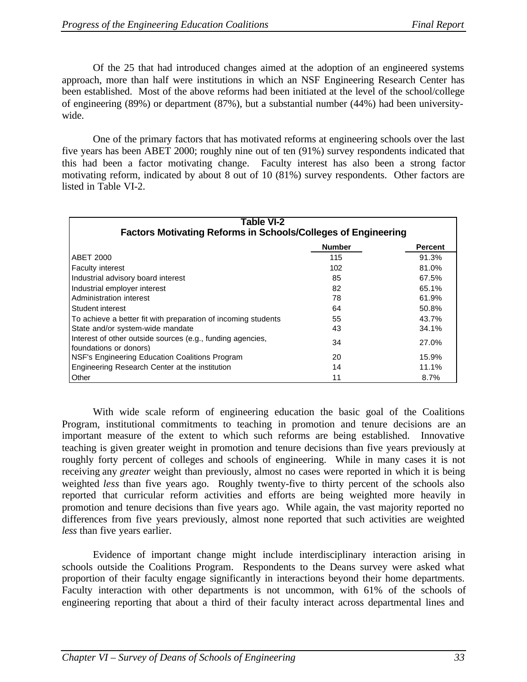Of the 25 that had introduced changes aimed at the adoption of an engineered systems approach, more than half were institutions in which an NSF Engineering Research Center has been established. Most of the above reforms had been initiated at the level of the school/college of engineering (89%) or department (87%), but a substantial number (44%) had been universitywide.

One of the primary factors that has motivated reforms at engineering schools over the last five years has been ABET 2000; roughly nine out of ten (91%) survey respondents indicated that this had been a factor motivating change. Faculty interest has also been a strong factor motivating reform, indicated by about 8 out of 10 (81%) survey respondents. Other factors are listed in Table VI-2.

| Table VI-2<br><b>Factors Motivating Reforms in Schools/Colleges of Engineering</b>   |               |                |  |
|--------------------------------------------------------------------------------------|---------------|----------------|--|
|                                                                                      | <b>Number</b> | <b>Percent</b> |  |
| <b>ABET 2000</b>                                                                     | 115           | 91.3%          |  |
| <b>Faculty interest</b>                                                              | 102           | 81.0%          |  |
| Industrial advisory board interest                                                   | 85            | 67.5%          |  |
| Industrial employer interest                                                         | 82            | 65.1%          |  |
| Administration interest                                                              | 78            | 61.9%          |  |
| Student interest                                                                     | 64            | 50.8%          |  |
| To achieve a better fit with preparation of incoming students                        | 55            | 43.7%          |  |
| State and/or system-wide mandate                                                     | 43            | 34.1%          |  |
| Interest of other outside sources (e.g., funding agencies,<br>foundations or donors) | 34            | 27.0%          |  |
| <b>NSF's Engineering Education Coalitions Program</b>                                | 20            | 15.9%          |  |
| Engineering Research Center at the institution                                       | 14            | 11.1%          |  |
| Other                                                                                | 11            | 8.7%           |  |

With wide scale reform of engineering education the basic goal of the Coalitions Program, institutional commitments to teaching in promotion and tenure decisions are an important measure of the extent to which such reforms are being established. Innovative teaching is given greater weight in promotion and tenure decisions than five years previously at roughly forty percent of colleges and schools of engineering. While in many cases it is not receiving any *greater* weight than previously, almost no cases were reported in which it is being weighted *less* than five years ago. Roughly twenty-five to thirty percent of the schools also reported that curricular reform activities and efforts are being weighted more heavily in promotion and tenure decisions than five years ago. While again, the vast majority reported no differences from five years previously, almost none reported that such activities are weighted *less* than five years earlier.

Evidence of important change might include interdisciplinary interaction arising in schools outside the Coalitions Program. Respondents to the Deans survey were asked what proportion of their faculty engage significantly in interactions beyond their home departments. Faculty interaction with other departments is not uncommon, with 61% of the schools of engineering reporting that about a third of their faculty interact across departmental lines and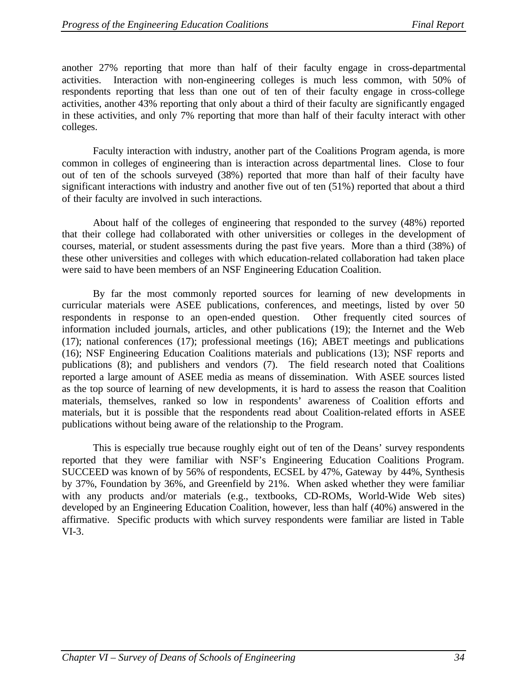another 27% reporting that more than half of their faculty engage in cross-departmental activities. Interaction with non-engineering colleges is much less common, with 50% of respondents reporting that less than one out of ten of their faculty engage in cross-college activities, another 43% reporting that only about a third of their faculty are significantly engaged in these activities, and only 7% reporting that more than half of their faculty interact with other colleges.

Faculty interaction with industry, another part of the Coalitions Program agenda, is more common in colleges of engineering than is interaction across departmental lines. Close to four out of ten of the schools surveyed (38%) reported that more than half of their faculty have significant interactions with industry and another five out of ten (51%) reported that about a third of their faculty are involved in such interactions.

About half of the colleges of engineering that responded to the survey (48%) reported that their college had collaborated with other universities or colleges in the development of courses, material, or student assessments during the past five years. More than a third (38%) of these other universities and colleges with which education-related collaboration had taken place were said to have been members of an NSF Engineering Education Coalition.

By far the most commonly reported sources for learning of new developments in curricular materials were ASEE publications, conferences, and meetings, listed by over 50 respondents in response to an open-ended question. Other frequently cited sources of information included journals, articles, and other publications (19); the Internet and the Web (17); national conferences (17); professional meetings (16); ABET meetings and publications (16); NSF Engineering Education Coalitions materials and publications (13); NSF reports and publications (8); and publishers and vendors (7). The field research noted that Coalitions reported a large amount of ASEE media as means of dissemination. With ASEE sources listed as the top source of learning of new developments, it is hard to assess the reason that Coalition materials, themselves, ranked so low in respondents' awareness of Coalition efforts and materials, but it is possible that the respondents read about Coalition-related efforts in ASEE publications without being aware of the relationship to the Program.

This is especially true because roughly eight out of ten of the Deans' survey respondents reported that they were familiar with NSF's Engineering Education Coalitions Program. SUCCEED was known of by 56% of respondents, ECSEL by 47%, Gateway by 44%, Synthesis by 37%, Foundation by 36%, and Greenfield by 21%. When asked whether they were familiar with any products and/or materials (e.g., textbooks, CD-ROMs, World-Wide Web sites) developed by an Engineering Education Coalition, however, less than half (40%) answered in the affirmative. Specific products with which survey respondents were familiar are listed in Table VI-3.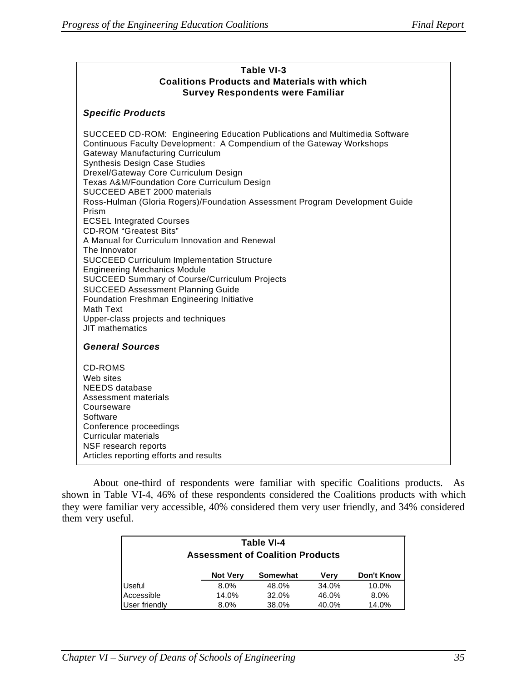Г

| Table VI-3<br><b>Coalitions Products and Materials with which</b><br><b>Survey Respondents were Familiar</b>                                                                                                                                                                                                                                                                                                                                                                                                                                                                                                                                                                                                                                                                                                                                                                                                       |  |  |  |  |
|--------------------------------------------------------------------------------------------------------------------------------------------------------------------------------------------------------------------------------------------------------------------------------------------------------------------------------------------------------------------------------------------------------------------------------------------------------------------------------------------------------------------------------------------------------------------------------------------------------------------------------------------------------------------------------------------------------------------------------------------------------------------------------------------------------------------------------------------------------------------------------------------------------------------|--|--|--|--|
| <b>Specific Products</b>                                                                                                                                                                                                                                                                                                                                                                                                                                                                                                                                                                                                                                                                                                                                                                                                                                                                                           |  |  |  |  |
| SUCCEED CD-ROM: Engineering Education Publications and Multimedia Software<br>Continuous Faculty Development: A Compendium of the Gateway Workshops<br><b>Gateway Manufacturing Curriculum</b><br>Synthesis Design Case Studies<br>Drexel/Gateway Core Curriculum Design<br>Texas A&M/Foundation Core Curriculum Design<br>SUCCEED ABET 2000 materials<br>Ross-Hulman (Gloria Rogers)/Foundation Assessment Program Development Guide<br>Prism<br><b>ECSEL Integrated Courses</b><br><b>CD-ROM</b> "Greatest Bits"<br>A Manual for Curriculum Innovation and Renewal<br>The Innovator<br><b>SUCCEED Curriculum Implementation Structure</b><br><b>Engineering Mechanics Module</b><br><b>SUCCEED Summary of Course/Curriculum Projects</b><br><b>SUCCEED Assessment Planning Guide</b><br>Foundation Freshman Engineering Initiative<br>Math Text<br>Upper-class projects and techniques<br><b>JIT</b> mathematics |  |  |  |  |
| <b>General Sources</b>                                                                                                                                                                                                                                                                                                                                                                                                                                                                                                                                                                                                                                                                                                                                                                                                                                                                                             |  |  |  |  |
| <b>CD-ROMS</b><br>Web sites<br><b>NEEDS</b> database<br>Assessment materials<br>Courseware<br>Software<br>Conference proceedings<br><b>Curricular materials</b><br>NSF research reports<br>Articles reporting efforts and results                                                                                                                                                                                                                                                                                                                                                                                                                                                                                                                                                                                                                                                                                  |  |  |  |  |

About one-third of respondents were familiar with specific Coalitions products. As shown in Table VI-4, 46% of these respondents considered the Coalitions products with which they were familiar very accessible, 40% considered them very user friendly, and 34% considered them very useful.

| Table VI-4<br><b>Assessment of Coalition Products</b> |                 |          |             |            |
|-------------------------------------------------------|-----------------|----------|-------------|------------|
|                                                       | <b>Not Very</b> | Somewhat | <b>Very</b> | Don't Know |
| Useful                                                | 8.0%            | 48.0%    | 34.0%       | 10.0%      |
| Accessible                                            | 14.0%           | 32.0%    | 46.0%       | 8.0%       |
| User friendly                                         | 8.0%            | 38.0%    | 40.0%       | 14.0%      |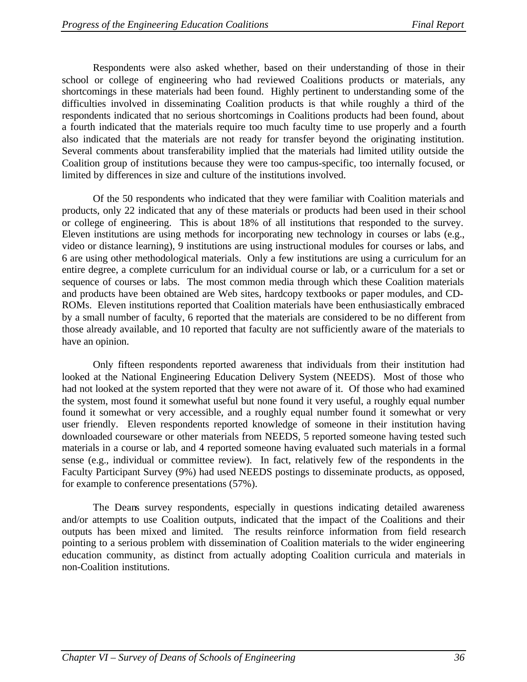Respondents were also asked whether, based on their understanding of those in their school or college of engineering who had reviewed Coalitions products or materials, any shortcomings in these materials had been found. Highly pertinent to understanding some of the difficulties involved in disseminating Coalition products is that while roughly a third of the respondents indicated that no serious shortcomings in Coalitions products had been found, about a fourth indicated that the materials require too much faculty time to use properly and a fourth also indicated that the materials are not ready for transfer beyond the originating institution. Several comments about transferability implied that the materials had limited utility outside the Coalition group of institutions because they were too campus-specific, too internally focused, or limited by differences in size and culture of the institutions involved.

Of the 50 respondents who indicated that they were familiar with Coalition materials and products, only 22 indicated that any of these materials or products had been used in their school or college of engineering. This is about 18% of all institutions that responded to the survey. Eleven institutions are using methods for incorporating new technology in courses or labs (e.g., video or distance learning), 9 institutions are using instructional modules for courses or labs, and 6 are using other methodological materials. Only a few institutions are using a curriculum for an entire degree, a complete curriculum for an individual course or lab, or a curriculum for a set or sequence of courses or labs. The most common media through which these Coalition materials and products have been obtained are Web sites, hardcopy textbooks or paper modules, and CD-ROMs. Eleven institutions reported that Coalition materials have been enthusiastically embraced by a small number of faculty, 6 reported that the materials are considered to be no different from those already available, and 10 reported that faculty are not sufficiently aware of the materials to have an opinion.

Only fifteen respondents reported awareness that individuals from their institution had looked at the National Engineering Education Delivery System (NEEDS). Most of those who had not looked at the system reported that they were not aware of it. Of those who had examined the system, most found it somewhat useful but none found it very useful, a roughly equal number found it somewhat or very accessible, and a roughly equal number found it somewhat or very user friendly. Eleven respondents reported knowledge of someone in their institution having downloaded courseware or other materials from NEEDS, 5 reported someone having tested such materials in a course or lab, and 4 reported someone having evaluated such materials in a formal sense (e.g., individual or committee review). In fact, relatively few of the respondents in the Faculty Participant Survey (9%) had used NEEDS postings to disseminate products, as opposed, for example to conference presentations (57%).

The Deans survey respondents, especially in questions indicating detailed awareness and/or attempts to use Coalition outputs, indicated that the impact of the Coalitions and their outputs has been mixed and limited. The results reinforce information from field research pointing to a serious problem with dissemination of Coalition materials to the wider engineering education community, as distinct from actually adopting Coalition curricula and materials in non-Coalition institutions.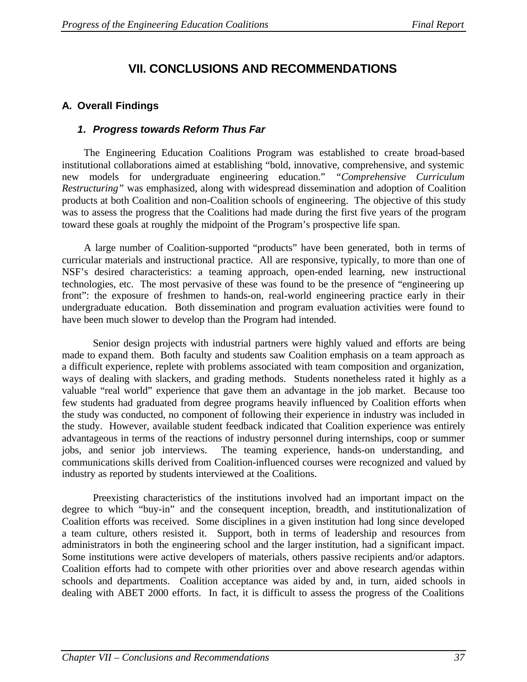# **VII. CONCLUSIONS AND RECOMMENDATIONS**

# **A. Overall Findings**

### *1. Progress towards Reform Thus Far*

The Engineering Education Coalitions Program was established to create broad-based institutional collaborations aimed at establishing "bold, innovative, comprehensive, and systemic new models for undergraduate engineering education." *"Comprehensive Curriculum Restructuring"* was emphasized, along with widespread dissemination and adoption of Coalition products at both Coalition and non-Coalition schools of engineering. The objective of this study was to assess the progress that the Coalitions had made during the first five years of the program toward these goals at roughly the midpoint of the Program's prospective life span.

A large number of Coalition-supported "products" have been generated, both in terms of curricular materials and instructional practice. All are responsive, typically, to more than one of NSF's desired characteristics: a teaming approach, open-ended learning, new instructional technologies, etc. The most pervasive of these was found to be the presence of "engineering up front": the exposure of freshmen to hands-on, real-world engineering practice early in their undergraduate education. Both dissemination and program evaluation activities were found to have been much slower to develop than the Program had intended.

Senior design projects with industrial partners were highly valued and efforts are being made to expand them. Both faculty and students saw Coalition emphasis on a team approach as a difficult experience, replete with problems associated with team composition and organization, ways of dealing with slackers, and grading methods. Students nonetheless rated it highly as a valuable "real world" experience that gave them an advantage in the job market. Because too few students had graduated from degree programs heavily influenced by Coalition efforts when the study was conducted, no component of following their experience in industry was included in the study. However, available student feedback indicated that Coalition experience was entirely advantageous in terms of the reactions of industry personnel during internships, coop or summer jobs, and senior job interviews. The teaming experience, hands-on understanding, and communications skills derived from Coalition-influenced courses were recognized and valued by industry as reported by students interviewed at the Coalitions.

Preexisting characteristics of the institutions involved had an important impact on the degree to which "buy-in" and the consequent inception, breadth, and institutionalization of Coalition efforts was received. Some disciplines in a given institution had long since developed a team culture, others resisted it. Support, both in terms of leadership and resources from administrators in both the engineering school and the larger institution, had a significant impact. Some institutions were active developers of materials, others passive recipients and/or adaptors. Coalition efforts had to compete with other priorities over and above research agendas within schools and departments. Coalition acceptance was aided by and, in turn, aided schools in dealing with ABET 2000 efforts. In fact, it is difficult to assess the progress of the Coalitions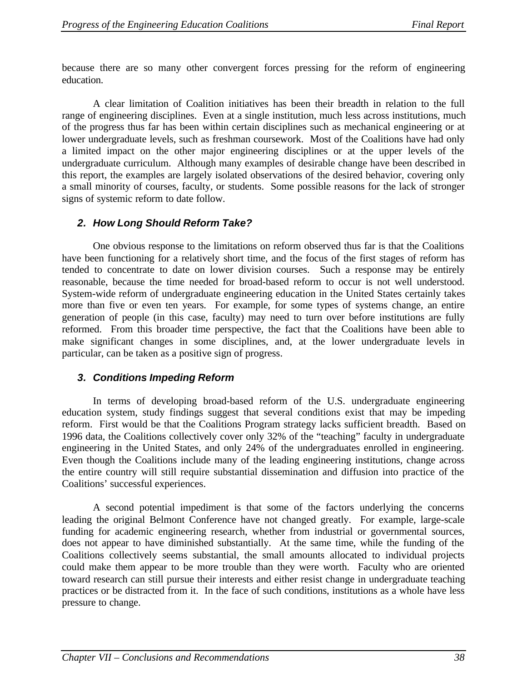because there are so many other convergent forces pressing for the reform of engineering education.

A clear limitation of Coalition initiatives has been their breadth in relation to the full range of engineering disciplines. Even at a single institution, much less across institutions, much of the progress thus far has been within certain disciplines such as mechanical engineering or at lower undergraduate levels, such as freshman coursework. Most of the Coalitions have had only a limited impact on the other major engineering disciplines or at the upper levels of the undergraduate curriculum. Although many examples of desirable change have been described in this report, the examples are largely isolated observations of the desired behavior, covering only a small minority of courses, faculty, or students. Some possible reasons for the lack of stronger signs of systemic reform to date follow.

### *2. How Long Should Reform Take?*

One obvious response to the limitations on reform observed thus far is that the Coalitions have been functioning for a relatively short time, and the focus of the first stages of reform has tended to concentrate to date on lower division courses. Such a response may be entirely reasonable, because the time needed for broad-based reform to occur is not well understood. System-wide reform of undergraduate engineering education in the United States certainly takes more than five or even ten years. For example, for some types of systems change, an entire generation of people (in this case, faculty) may need to turn over before institutions are fully reformed. From this broader time perspective, the fact that the Coalitions have been able to make significant changes in some disciplines, and, at the lower undergraduate levels in particular, can be taken as a positive sign of progress.

### *3. Conditions Impeding Reform*

In terms of developing broad-based reform of the U.S. undergraduate engineering education system, study findings suggest that several conditions exist that may be impeding reform. First would be that the Coalitions Program strategy lacks sufficient breadth. Based on 1996 data, the Coalitions collectively cover only 32% of the "teaching" faculty in undergraduate engineering in the United States, and only 24% of the undergraduates enrolled in engineering. Even though the Coalitions include many of the leading engineering institutions, change across the entire country will still require substantial dissemination and diffusion into practice of the Coalitions' successful experiences.

A second potential impediment is that some of the factors underlying the concerns leading the original Belmont Conference have not changed greatly. For example, large-scale funding for academic engineering research, whether from industrial or governmental sources, does not appear to have diminished substantially. At the same time, while the funding of the Coalitions collectively seems substantial, the small amounts allocated to individual projects could make them appear to be more trouble than they were worth. Faculty who are oriented toward research can still pursue their interests and either resist change in undergraduate teaching practices or be distracted from it. In the face of such conditions, institutions as a whole have less pressure to change.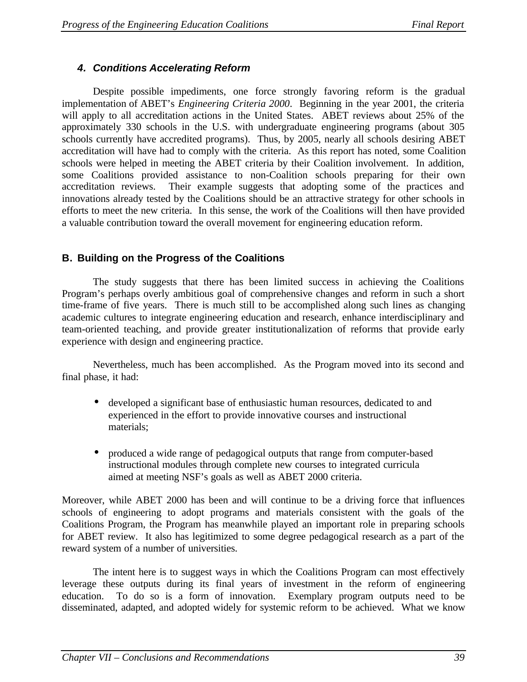### *4. Conditions Accelerating Reform*

Despite possible impediments, one force strongly favoring reform is the gradual implementation of ABET's *Engineering Criteria 2000*. Beginning in the year 2001, the criteria will apply to all accreditation actions in the United States. ABET reviews about 25% of the approximately 330 schools in the U.S. with undergraduate engineering programs (about 305 schools currently have accredited programs). Thus, by 2005, nearly all schools desiring ABET accreditation will have had to comply with the criteria. As this report has noted, some Coalition schools were helped in meeting the ABET criteria by their Coalition involvement. In addition, some Coalitions provided assistance to non-Coalition schools preparing for their own accreditation reviews. Their example suggests that adopting some of the practices and innovations already tested by the Coalitions should be an attractive strategy for other schools in efforts to meet the new criteria. In this sense, the work of the Coalitions will then have provided a valuable contribution toward the overall movement for engineering education reform.

### **B. Building on the Progress of the Coalitions**

The study suggests that there has been limited success in achieving the Coalitions Program's perhaps overly ambitious goal of comprehensive changes and reform in such a short time-frame of five years. There is much still to be accomplished along such lines as changing academic cultures to integrate engineering education and research, enhance interdisciplinary and team-oriented teaching, and provide greater institutionalization of reforms that provide early experience with design and engineering practice.

Nevertheless, much has been accomplished. As the Program moved into its second and final phase, it had:

- developed a significant base of enthusiastic human resources, dedicated to and experienced in the effort to provide innovative courses and instructional materials;
- produced a wide range of pedagogical outputs that range from computer-based instructional modules through complete new courses to integrated curricula aimed at meeting NSF's goals as well as ABET 2000 criteria.

Moreover, while ABET 2000 has been and will continue to be a driving force that influences schools of engineering to adopt programs and materials consistent with the goals of the Coalitions Program, the Program has meanwhile played an important role in preparing schools for ABET review. It also has legitimized to some degree pedagogical research as a part of the reward system of a number of universities.

The intent here is to suggest ways in which the Coalitions Program can most effectively leverage these outputs during its final years of investment in the reform of engineering education. To do so is a form of innovation. Exemplary program outputs need to be disseminated, adapted, and adopted widely for systemic reform to be achieved. What we know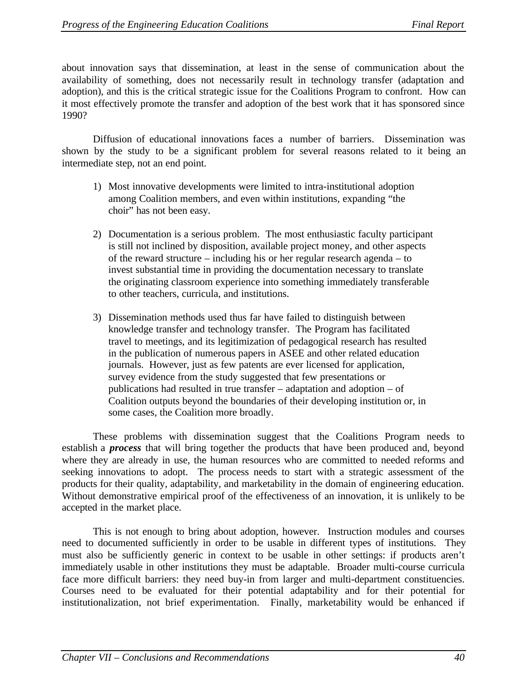about innovation says that dissemination, at least in the sense of communication about the availability of something, does not necessarily result in technology transfer (adaptation and adoption), and this is the critical strategic issue for the Coalitions Program to confront. How can it most effectively promote the transfer and adoption of the best work that it has sponsored since 1990?

Diffusion of educational innovations faces a number of barriers. Dissemination was shown by the study to be a significant problem for several reasons related to it being an intermediate step, not an end point.

- 1) Most innovative developments were limited to intra-institutional adoption among Coalition members, and even within institutions, expanding "the choir" has not been easy.
- 2) Documentation is a serious problem. The most enthusiastic faculty participant is still not inclined by disposition, available project money, and other aspects of the reward structure – including his or her regular research agenda – to invest substantial time in providing the documentation necessary to translate the originating classroom experience into something immediately transferable to other teachers, curricula, and institutions.
- 3) Dissemination methods used thus far have failed to distinguish between knowledge transfer and technology transfer. The Program has facilitated travel to meetings, and its legitimization of pedagogical research has resulted in the publication of numerous papers in ASEE and other related education journals. However, just as few patents are ever licensed for application, survey evidence from the study suggested that few presentations or publications had resulted in true transfer – adaptation and adoption – of Coalition outputs beyond the boundaries of their developing institution or, in some cases, the Coalition more broadly.

These problems with dissemination suggest that the Coalitions Program needs to establish a *process* that will bring together the products that have been produced and, beyond where they are already in use, the human resources who are committed to needed reforms and seeking innovations to adopt. The process needs to start with a strategic assessment of the products for their quality, adaptability, and marketability in the domain of engineering education. Without demonstrative empirical proof of the effectiveness of an innovation, it is unlikely to be accepted in the market place.

This is not enough to bring about adoption, however. Instruction modules and courses need to documented sufficiently in order to be usable in different types of institutions. They must also be sufficiently generic in context to be usable in other settings: if products aren't immediately usable in other institutions they must be adaptable. Broader multi-course curricula face more difficult barriers: they need buy-in from larger and multi-department constituencies. Courses need to be evaluated for their potential adaptability and for their potential for institutionalization, not brief experimentation. Finally, marketability would be enhanced if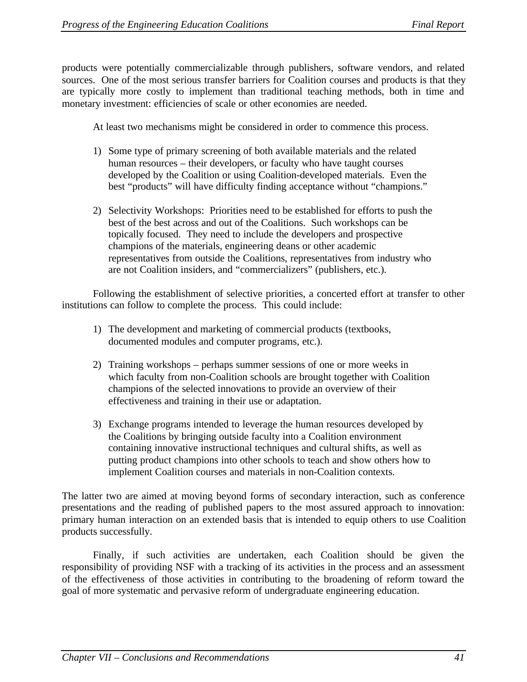products were potentially commercializable through publishers, software vendors, and related sources. One of the most serious transfer barriers for Coalition courses and products is that they are typically more costly to implement than traditional teaching methods, both in time and monetary investment: efficiencies of scale or other economies are needed.

At least two mechanisms might be considered in order to commence this process.

- 1) Some type of primary screening of both available materials and the related human resources – their developers, or faculty who have taught courses developed by the Coalition or using Coalition-developed materials. Even the best "products" will have difficulty finding acceptance without "champions."
- 2) Selectivity Workshops: Priorities need to be established for efforts to push the best of the best across and out of the Coalitions. Such workshops can be topically focused. They need to include the developers and prospective champions of the materials, engineering deans or other academic representatives from outside the Coalitions, representatives from industry who are not Coalition insiders, and "commercializers" (publishers, etc.).

Following the establishment of selective priorities, a concerted effort at transfer to other institutions can follow to complete the process. This could include:

- 1) The development and marketing of commercial products (textbooks, documented modules and computer programs, etc.).
- 2) Training workshops perhaps summer sessions of one or more weeks in which faculty from non-Coalition schools are brought together with Coalition champions of the selected innovations to provide an overview of their effectiveness and training in their use or adaptation.
- 3) Exchange programs intended to leverage the human resources developed by the Coalitions by bringing outside faculty into a Coalition environment containing innovative instructional techniques and cultural shifts, as well as putting product champions into other schools to teach and show others how to implement Coalition courses and materials in non-Coalition contexts.

The latter two are aimed at moving beyond forms of secondary interaction, such as conference presentations and the reading of published papers to the most assured approach to innovation: primary human interaction on an extended basis that is intended to equip others to use Coalition products successfully.

Finally, if such activities are undertaken, each Coalition should be given the responsibility of providing NSF with a tracking of its activities in the process and an assessment of the effectiveness of those activities in contributing to the broadening of reform toward the goal of more systematic and pervasive reform of undergraduate engineering education.